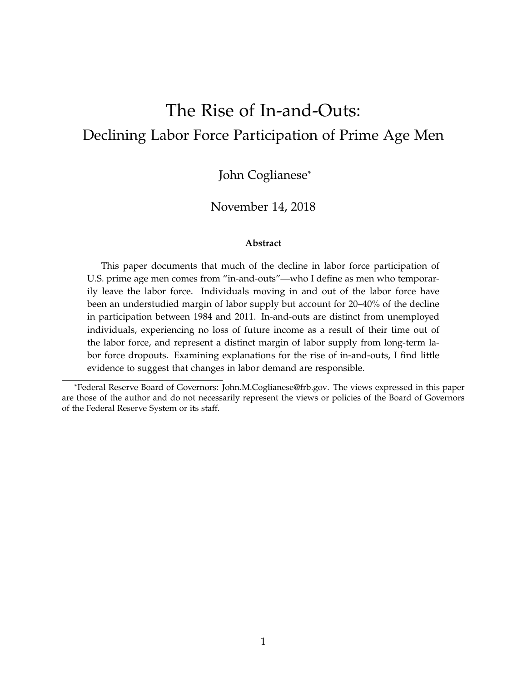# The Rise of In-and-Outs: Declining Labor Force Participation of Prime Age Men

John Coglianese\*

#### November 14, 2018

#### **Abstract**

This paper documents that much of the decline in labor force participation of U.S. prime age men comes from "in-and-outs"—who I define as men who temporarily leave the labor force. Individuals moving in and out of the labor force have been an understudied margin of labor supply but account for 20–40% of the decline in participation between 1984 and 2011. In-and-outs are distinct from unemployed individuals, experiencing no loss of future income as a result of their time out of the labor force, and represent a distinct margin of labor supply from long-term labor force dropouts. Examining explanations for the rise of in-and-outs, I find little evidence to suggest that changes in labor demand are responsible.

<sup>\*</sup>Federal Reserve Board of Governors: [John.M.Coglianese@frb.gov.](mailto:John.M.Coglianese@frb.gov) The views expressed in this paper are those of the author and do not necessarily represent the views or policies of the Board of Governors of the Federal Reserve System or its staff.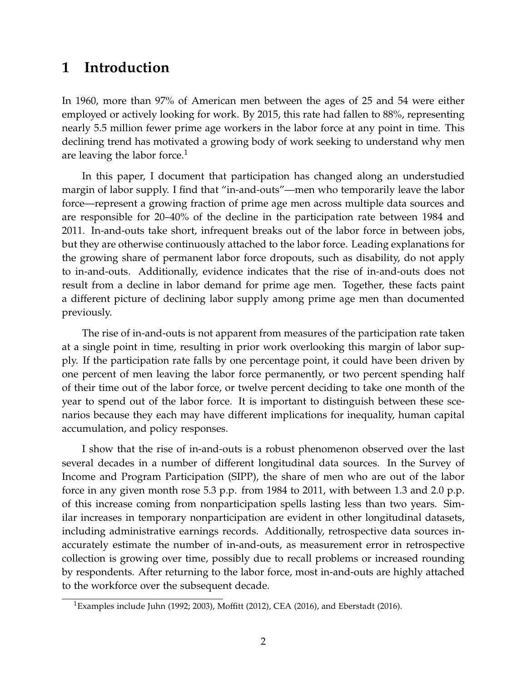# **1 Introduction**

In 1960, more than 97% of American men between the ages of 25 and 54 were either employed or actively looking for work. By 2015, this rate had fallen to 88%, representing nearly 5.5 million fewer prime age workers in the labor force at any point in time. This declining trend has motivated a growing body of work seeking to understand why men are leaving the labor force. $<sup>1</sup>$  $<sup>1</sup>$  $<sup>1</sup>$ </sup>

In this paper, I document that participation has changed along an understudied margin of labor supply. I find that "in-and-outs"—men who temporarily leave the labor force—represent a growing fraction of prime age men across multiple data sources and are responsible for 20–40% of the decline in the participation rate between 1984 and 2011. In-and-outs take short, infrequent breaks out of the labor force in between jobs, but they are otherwise continuously attached to the labor force. Leading explanations for the growing share of permanent labor force dropouts, such as disability, do not apply to in-and-outs. Additionally, evidence indicates that the rise of in-and-outs does not result from a decline in labor demand for prime age men. Together, these facts paint a different picture of declining labor supply among prime age men than documented previously.

The rise of in-and-outs is not apparent from measures of the participation rate taken at a single point in time, resulting in prior work overlooking this margin of labor supply. If the participation rate falls by one percentage point, it could have been driven by one percent of men leaving the labor force permanently, or two percent spending half of their time out of the labor force, or twelve percent deciding to take one month of the year to spend out of the labor force. It is important to distinguish between these scenarios because they each may have different implications for inequality, human capital accumulation, and policy responses.

I show that the rise of in-and-outs is a robust phenomenon observed over the last several decades in a number of different longitudinal data sources. In the Survey of Income and Program Participation (SIPP), the share of men who are out of the labor force in any given month rose 5.3 p.p. from 1984 to 2011, with between 1.3 and 2.0 p.p. of this increase coming from nonparticipation spells lasting less than two years. Similar increases in temporary nonparticipation are evident in other longitudinal datasets, including administrative earnings records. Additionally, retrospective data sources inaccurately estimate the number of in-and-outs, as measurement error in retrospective collection is growing over time, possibly due to recall problems or increased rounding by respondents. After returning to the labor force, most in-and-outs are highly attached to the workforce over the subsequent decade.

<span id="page-1-0"></span><sup>&</sup>lt;sup>1</sup>Examples include Juhn [\(1992;](#page-34-0) [2003\)](#page-34-1), [Moffitt](#page-34-2) [\(2012\)](#page-34-2), CEA (2016), and [Eberstadt](#page-32-0) [\(2016\)](#page-32-0).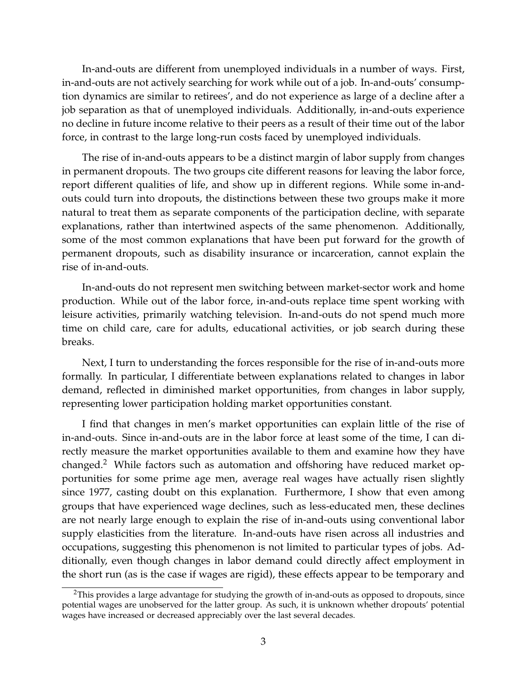In-and-outs are different from unemployed individuals in a number of ways. First, in-and-outs are not actively searching for work while out of a job. In-and-outs' consumption dynamics are similar to retirees', and do not experience as large of a decline after a job separation as that of unemployed individuals. Additionally, in-and-outs experience no decline in future income relative to their peers as a result of their time out of the labor force, in contrast to the large long-run costs faced by unemployed individuals.

The rise of in-and-outs appears to be a distinct margin of labor supply from changes in permanent dropouts. The two groups cite different reasons for leaving the labor force, report different qualities of life, and show up in different regions. While some in-andouts could turn into dropouts, the distinctions between these two groups make it more natural to treat them as separate components of the participation decline, with separate explanations, rather than intertwined aspects of the same phenomenon. Additionally, some of the most common explanations that have been put forward for the growth of permanent dropouts, such as disability insurance or incarceration, cannot explain the rise of in-and-outs.

In-and-outs do not represent men switching between market-sector work and home production. While out of the labor force, in-and-outs replace time spent working with leisure activities, primarily watching television. In-and-outs do not spend much more time on child care, care for adults, educational activities, or job search during these breaks.

Next, I turn to understanding the forces responsible for the rise of in-and-outs more formally. In particular, I differentiate between explanations related to changes in labor demand, reflected in diminished market opportunities, from changes in labor supply, representing lower participation holding market opportunities constant.

I find that changes in men's market opportunities can explain little of the rise of in-and-outs. Since in-and-outs are in the labor force at least some of the time, I can directly measure the market opportunities available to them and examine how they have changed.<sup>[2](#page-2-0)</sup> While factors such as automation and offshoring have reduced market opportunities for some prime age men, average real wages have actually risen slightly since 1977, casting doubt on this explanation. Furthermore, I show that even among groups that have experienced wage declines, such as less-educated men, these declines are not nearly large enough to explain the rise of in-and-outs using conventional labor supply elasticities from the literature. In-and-outs have risen across all industries and occupations, suggesting this phenomenon is not limited to particular types of jobs. Additionally, even though changes in labor demand could directly affect employment in the short run (as is the case if wages are rigid), these effects appear to be temporary and

<span id="page-2-0"></span> $2$ This provides a large advantage for studying the growth of in-and-outs as opposed to dropouts, since potential wages are unobserved for the latter group. As such, it is unknown whether dropouts' potential wages have increased or decreased appreciably over the last several decades.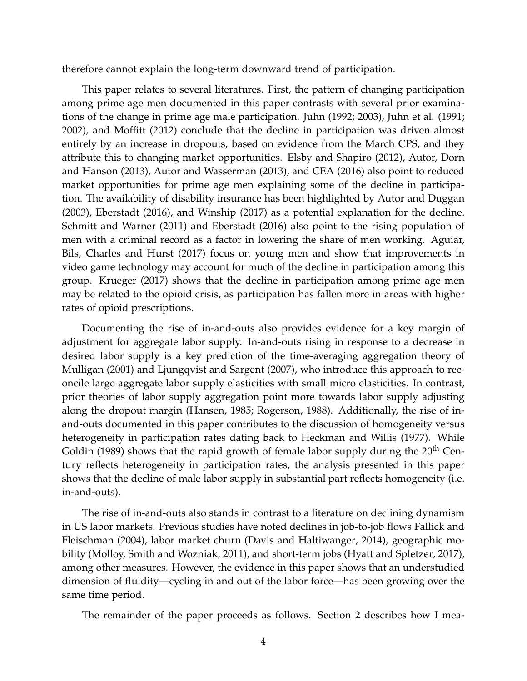therefore cannot explain the long-term downward trend of participation.

This paper relates to several literatures. First, the pattern of changing participation among prime age men documented in this paper contrasts with several prior examinations of the change in prime age male participation. Juhn [\(1992;](#page-34-0) [2003\)](#page-34-1), Juhn et al. [\(1991;](#page-34-3) [2002\)](#page-34-4), and [Moffitt](#page-34-2) [\(2012\)](#page-34-2) conclude that the decline in participation was driven almost entirely by an increase in dropouts, based on evidence from the March CPS, and they attribute this to changing market opportunities. [Elsby and Shapiro](#page-33-0) [\(2012\)](#page-33-0), [Autor, Dorn](#page-32-1) [and Hanson](#page-32-1) [\(2013\)](#page-32-1), [Autor and Wasserman](#page-32-2) [\(2013\)](#page-32-2), and CEA (2016) also point to reduced market opportunities for prime age men explaining some of the decline in participation. The availability of disability insurance has been highlighted by [Autor and Duggan](#page-32-3) [\(2003\)](#page-32-3), [Eberstadt](#page-32-0) [\(2016\)](#page-32-0), and [Winship](#page-35-0) [\(2017\)](#page-35-0) as a potential explanation for the decline. [Schmitt and Warner](#page-35-1) [\(2011\)](#page-35-1) and [Eberstadt](#page-32-0) [\(2016\)](#page-32-0) also point to the rising population of men with a criminal record as a factor in lowering the share of men working. [Aguiar,](#page-31-0) [Bils, Charles and Hurst](#page-31-0) [\(2017\)](#page-31-0) focus on young men and show that improvements in video game technology may account for much of the decline in participation among this group. [Krueger](#page-34-5) [\(2017\)](#page-34-5) shows that the decline in participation among prime age men may be related to the opioid crisis, as participation has fallen more in areas with higher rates of opioid prescriptions.

Documenting the rise of in-and-outs also provides evidence for a key margin of adjustment for aggregate labor supply. In-and-outs rising in response to a decrease in desired labor supply is a key prediction of the time-averaging aggregation theory of [Mulligan](#page-34-6) [\(2001\)](#page-34-6) and [Ljungqvist and Sargent](#page-34-7) [\(2007\)](#page-34-7), who introduce this approach to reconcile large aggregate labor supply elasticities with small micro elasticities. In contrast, prior theories of labor supply aggregation point more towards labor supply adjusting along the dropout margin [\(Hansen, 1985;](#page-33-1) [Rogerson, 1988\)](#page-34-8). Additionally, the rise of inand-outs documented in this paper contributes to the discussion of homogeneity versus heterogeneity in participation rates dating back to [Heckman and Willis](#page-33-2) [\(1977\)](#page-33-2). While [Goldin](#page-33-3) [\(1989\)](#page-33-3) shows that the rapid growth of female labor supply during the  $20<sup>th</sup>$  Century reflects heterogeneity in participation rates, the analysis presented in this paper shows that the decline of male labor supply in substantial part reflects homogeneity (i.e. in-and-outs).

The rise of in-and-outs also stands in contrast to a literature on declining dynamism in US labor markets. Previous studies have noted declines in job-to-job flows [Fallick and](#page-33-4) [Fleischman](#page-33-4) [\(2004\)](#page-33-4), labor market churn [\(Davis and Haltiwanger, 2014\)](#page-32-4), geographic mobility [\(Molloy, Smith and Wozniak, 2011\)](#page-34-9), and short-term jobs [\(Hyatt and Spletzer, 2017\)](#page-34-10), among other measures. However, the evidence in this paper shows that an understudied dimension of fluidity—cycling in and out of the labor force—has been growing over the same time period.

The remainder of the paper proceeds as follows. Section 2 describes how I mea-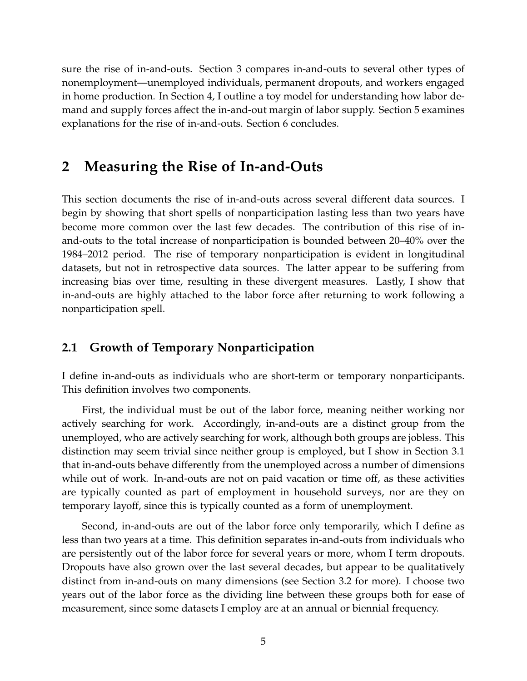sure the rise of in-and-outs. Section 3 compares in-and-outs to several other types of nonemployment—unemployed individuals, permanent dropouts, and workers engaged in home production. In Section 4, I outline a toy model for understanding how labor demand and supply forces affect the in-and-out margin of labor supply. Section 5 examines explanations for the rise of in-and-outs. Section 6 concludes.

# **2 Measuring the Rise of In-and-Outs**

This section documents the rise of in-and-outs across several different data sources. I begin by showing that short spells of nonparticipation lasting less than two years have become more common over the last few decades. The contribution of this rise of inand-outs to the total increase of nonparticipation is bounded between 20–40% over the 1984–2012 period. The rise of temporary nonparticipation is evident in longitudinal datasets, but not in retrospective data sources. The latter appear to be suffering from increasing bias over time, resulting in these divergent measures. Lastly, I show that in-and-outs are highly attached to the labor force after returning to work following a nonparticipation spell.

### **2.1 Growth of Temporary Nonparticipation**

I define in-and-outs as individuals who are short-term or temporary nonparticipants. This definition involves two components.

First, the individual must be out of the labor force, meaning neither working nor actively searching for work. Accordingly, in-and-outs are a distinct group from the unemployed, who are actively searching for work, although both groups are jobless. This distinction may seem trivial since neither group is employed, but I show in Section [3.1](#page-13-0) that in-and-outs behave differently from the unemployed across a number of dimensions while out of work. In-and-outs are not on paid vacation or time off, as these activities are typically counted as part of employment in household surveys, nor are they on temporary layoff, since this is typically counted as a form of unemployment.

Second, in-and-outs are out of the labor force only temporarily, which I define as less than two years at a time. This definition separates in-and-outs from individuals who are persistently out of the labor force for several years or more, whom I term dropouts. Dropouts have also grown over the last several decades, but appear to be qualitatively distinct from in-and-outs on many dimensions (see Section [3.2](#page-17-0) for more). I choose two years out of the labor force as the dividing line between these groups both for ease of measurement, since some datasets I employ are at an annual or biennial frequency.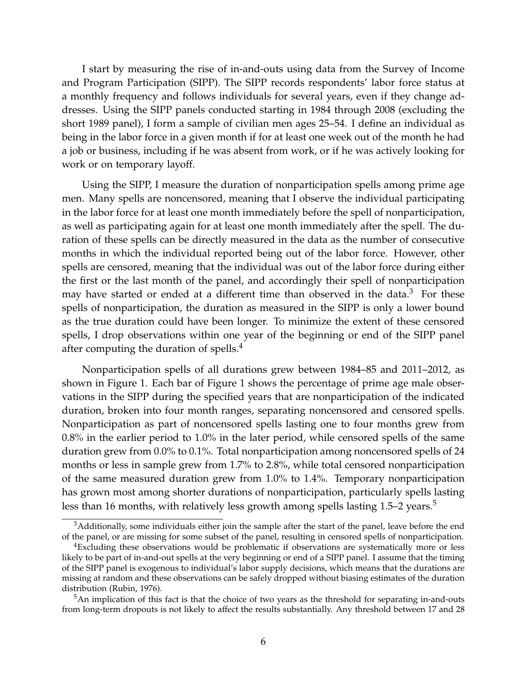I start by measuring the rise of in-and-outs using data from the Survey of Income and Program Participation (SIPP). The SIPP records respondents' labor force status at a monthly frequency and follows individuals for several years, even if they change addresses. Using the SIPP panels conducted starting in 1984 through 2008 (excluding the short 1989 panel), I form a sample of civilian men ages 25–54. I define an individual as being in the labor force in a given month if for at least one week out of the month he had a job or business, including if he was absent from work, or if he was actively looking for work or on temporary layoff.

Using the SIPP, I measure the duration of nonparticipation spells among prime age men. Many spells are noncensored, meaning that I observe the individual participating in the labor force for at least one month immediately before the spell of nonparticipation, as well as participating again for at least one month immediately after the spell. The duration of these spells can be directly measured in the data as the number of consecutive months in which the individual reported being out of the labor force. However, other spells are censored, meaning that the individual was out of the labor force during either the first or the last month of the panel, and accordingly their spell of nonparticipation may have started or ended at a different time than observed in the data. $3$  For these spells of nonparticipation, the duration as measured in the SIPP is only a lower bound as the true duration could have been longer. To minimize the extent of these censored spells, I drop observations within one year of the beginning or end of the SIPP panel after computing the duration of spells.<sup>[4](#page-5-1)</sup>

Nonparticipation spells of all durations grew between 1984–85 and 2011–2012, as shown in Figure [1.](#page-6-0) Each bar of Figure [1](#page-6-0) shows the percentage of prime age male observations in the SIPP during the specified years that are nonparticipation of the indicated duration, broken into four month ranges, separating noncensored and censored spells. Nonparticipation as part of noncensored spells lasting one to four months grew from 0.8% in the earlier period to 1.0% in the later period, while censored spells of the same duration grew from 0.0% to 0.1%. Total nonparticipation among noncensored spells of 24 months or less in sample grew from 1.7% to 2.8%, while total censored nonparticipation of the same measured duration grew from 1.0% to 1.4%. Temporary nonparticipation has grown most among shorter durations of nonparticipation, particularly spells lasting less than 16 months, with relatively less growth among spells lasting  $1.5-2$  $1.5-2$  $1.5-2$  years.<sup>5</sup>

<span id="page-5-0"></span><sup>&</sup>lt;sup>3</sup>Additionally, some individuals either join the sample after the start of the panel, leave before the end of the panel, or are missing for some subset of the panel, resulting in censored spells of nonparticipation.

<span id="page-5-1"></span><sup>4</sup>Excluding these observations would be problematic if observations are systematically more or less likely to be part of in-and-out spells at the very beginning or end of a SIPP panel. I assume that the timing of the SIPP panel is exogenous to individual's labor supply decisions, which means that the durations are missing at random and these observations can be safely dropped without biasing estimates of the duration distribution [\(Rubin, 1976\)](#page-34-11).

<span id="page-5-2"></span><sup>&</sup>lt;sup>5</sup>An implication of this fact is that the choice of two years as the threshold for separating in-and-outs from long-term dropouts is not likely to affect the results substantially. Any threshold between 17 and 28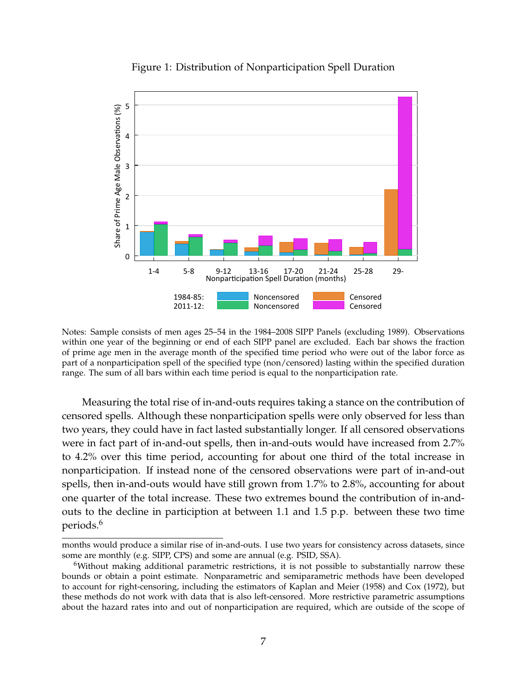<span id="page-6-0"></span>

Figure 1: Distribution of Nonparticipation Spell Duration

Notes: Sample consists of men ages 25–54 in the 1984–2008 SIPP Panels (excluding 1989). Observations within one year of the beginning or end of each SIPP panel are excluded. Each bar shows the fraction of prime age men in the average month of the specified time period who were out of the labor force as part of a nonparticipation spell of the specified type (non/censored) lasting within the specified duration range. The sum of all bars within each time period is equal to the nonparticipation rate.

Measuring the total rise of in-and-outs requires taking a stance on the contribution of censored spells. Although these nonparticipation spells were only observed for less than two years, they could have in fact lasted substantially longer. If all censored observations were in fact part of in-and-out spells, then in-and-outs would have increased from 2.7% to 4.2% over this time period, accounting for about one third of the total increase in nonparticipation. If instead none of the censored observations were part of in-and-out spells, then in-and-outs would have still grown from 1.7% to 2.8%, accounting for about one quarter of the total increase. These two extremes bound the contribution of in-andouts to the decline in particiption at between 1.1 and 1.5 p.p. between these two time periods.[6](#page-6-1)

months would produce a similar rise of in-and-outs. I use two years for consistency across datasets, since some are monthly (e.g. SIPP, CPS) and some are annual (e.g. PSID, SSA).

<span id="page-6-1"></span><sup>6</sup>Without making additional parametric restrictions, it is not possible to substantially narrow these bounds or obtain a point estimate. Nonparametric and semiparametric methods have been developed to account for right-censoring, including the estimators of [Kaplan and Meier](#page-34-12) [\(1958\)](#page-34-12) and [Cox](#page-32-5) [\(1972\)](#page-32-5), but these methods do not work with data that is also left-censored. More restrictive parametric assumptions about the hazard rates into and out of nonparticipation are required, which are outside of the scope of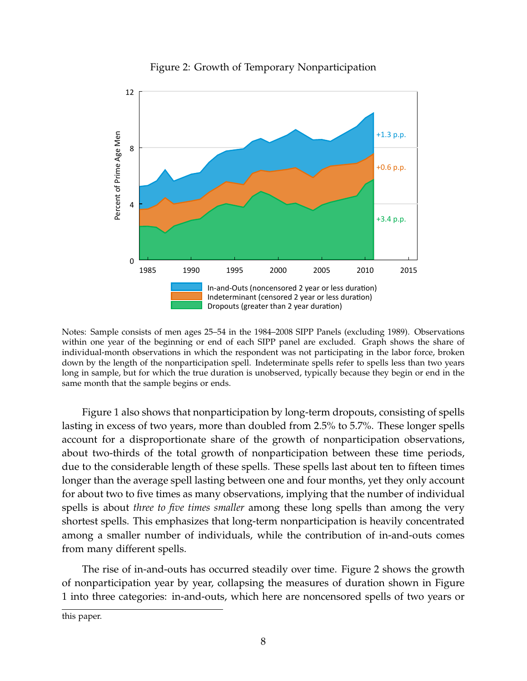<span id="page-7-0"></span>

#### Figure 2: Growth of Temporary Nonparticipation

Notes: Sample consists of men ages 25–54 in the 1984–2008 SIPP Panels (excluding 1989). Observations within one year of the beginning or end of each SIPP panel are excluded. Graph shows the share of individual-month observations in which the respondent was not participating in the labor force, broken down by the length of the nonparticipation spell. Indeterminate spells refer to spells less than two years long in sample, but for which the true duration is unobserved, typically because they begin or end in the same month that the sample begins or ends.

Figure [1](#page-6-0) also shows that nonparticipation by long-term dropouts, consisting of spells lasting in excess of two years, more than doubled from 2.5% to 5.7%. These longer spells account for a disproportionate share of the growth of nonparticipation observations, about two-thirds of the total growth of nonparticipation between these time periods, due to the considerable length of these spells. These spells last about ten to fifteen times longer than the average spell lasting between one and four months, yet they only account for about two to five times as many observations, implying that the number of individual spells is about *three to five times smaller* among these long spells than among the very shortest spells. This emphasizes that long-term nonparticipation is heavily concentrated among a smaller number of individuals, while the contribution of in-and-outs comes from many different spells.

The rise of in-and-outs has occurred steadily over time. Figure [2](#page-7-0) shows the growth of nonparticipation year by year, collapsing the measures of duration shown in Figure [1](#page-6-0) into three categories: in-and-outs, which here are noncensored spells of two years or

this paper.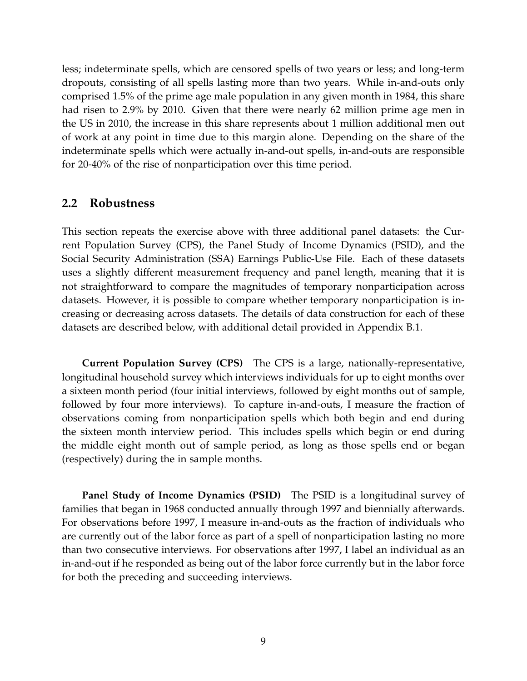less; indeterminate spells, which are censored spells of two years or less; and long-term dropouts, consisting of all spells lasting more than two years. While in-and-outs only comprised 1.5% of the prime age male population in any given month in 1984, this share had risen to 2.9% by 2010. Given that there were nearly 62 million prime age men in the US in 2010, the increase in this share represents about 1 million additional men out of work at any point in time due to this margin alone. Depending on the share of the indeterminate spells which were actually in-and-out spells, in-and-outs are responsible for 20-40% of the rise of nonparticipation over this time period.

#### **2.2 Robustness**

This section repeats the exercise above with three additional panel datasets: the Current Population Survey (CPS), the Panel Study of Income Dynamics (PSID), and the Social Security Administration (SSA) Earnings Public-Use File. Each of these datasets uses a slightly different measurement frequency and panel length, meaning that it is not straightforward to compare the magnitudes of temporary nonparticipation across datasets. However, it is possible to compare whether temporary nonparticipation is increasing or decreasing across datasets. The details of data construction for each of these datasets are described below, with additional detail provided in Appendix [B.1.](#page-38-0)

**Current Population Survey (CPS)** The CPS is a large, nationally-representative, longitudinal household survey which interviews individuals for up to eight months over a sixteen month period (four initial interviews, followed by eight months out of sample, followed by four more interviews). To capture in-and-outs, I measure the fraction of observations coming from nonparticipation spells which both begin and end during the sixteen month interview period. This includes spells which begin or end during the middle eight month out of sample period, as long as those spells end or began (respectively) during the in sample months.

**Panel Study of Income Dynamics (PSID)** The PSID is a longitudinal survey of families that began in 1968 conducted annually through 1997 and biennially afterwards. For observations before 1997, I measure in-and-outs as the fraction of individuals who are currently out of the labor force as part of a spell of nonparticipation lasting no more than two consecutive interviews. For observations after 1997, I label an individual as an in-and-out if he responded as being out of the labor force currently but in the labor force for both the preceding and succeeding interviews.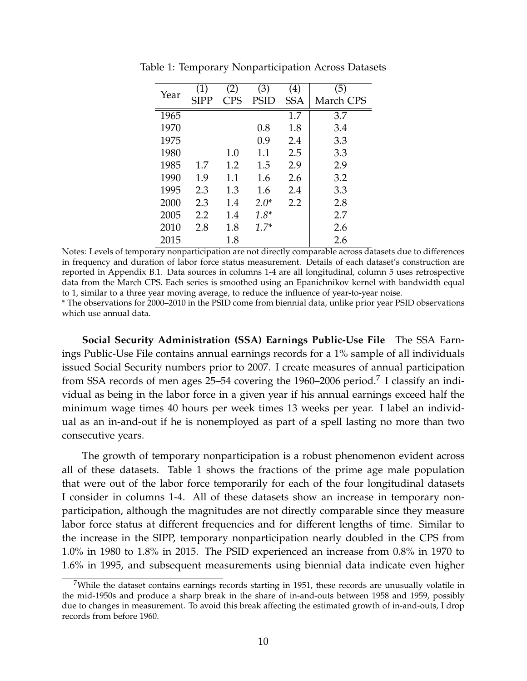| Year | (1)  | (2) | (3)    | (4)        | (5)       |
|------|------|-----|--------|------------|-----------|
|      | SIPP | CPS | PSID   | <b>SSA</b> | March CPS |
| 1965 |      |     |        | 1.7        | 3.7       |
| 1970 |      |     | 0.8    | 1.8        | 3.4       |
| 1975 |      |     | 0.9    | 2.4        | 3.3       |
| 1980 |      | 1.0 | 1.1    | 2.5        | 3.3       |
| 1985 | 1.7  | 1.2 | 1.5    | 2.9        | 2.9       |
| 1990 | 1.9  | 1.1 | 1.6    | 2.6        | 3.2       |
| 1995 | 2.3  | 1.3 | 1.6    | 2.4        | 3.3       |
| 2000 | 2.3  | 1.4 | $2.0*$ | 2.2        | 2.8       |
| 2005 | 2.2  | 1.4 | $1.8*$ |            | 2.7       |
| 2010 | 2.8  | 1.8 | $1.7*$ |            | 2.6       |
| 2015 |      | 1.8 |        |            | 2.6       |

<span id="page-9-1"></span>Table 1: Temporary Nonparticipation Across Datasets

Notes: Levels of temporary nonparticipation are not directly comparable across datasets due to differences in frequency and duration of labor force status measurement. Details of each dataset's construction are reported in Appendix [B.1.](#page-38-0) Data sources in columns 1-4 are all longitudinal, column 5 uses retrospective data from the March CPS. Each series is smoothed using an Epanichnikov kernel with bandwidth equal to 1, similar to a three year moving average, to reduce the influence of year-to-year noise.

\* The observations for 2000–2010 in the PSID come from biennial data, unlike prior year PSID observations which use annual data.

**Social Security Administration (SSA) Earnings Public-Use File** The SSA Earnings Public-Use File contains annual earnings records for a 1% sample of all individuals issued Social Security numbers prior to 2007. I create measures of annual participation from SSA records of men ages 25–54 covering the 1960–2006 period.<sup>[7](#page-9-0)</sup> I classify an individual as being in the labor force in a given year if his annual earnings exceed half the minimum wage times 40 hours per week times 13 weeks per year. I label an individual as an in-and-out if he is nonemployed as part of a spell lasting no more than two consecutive years.

The growth of temporary nonparticipation is a robust phenomenon evident across all of these datasets. Table [1](#page-9-1) shows the fractions of the prime age male population that were out of the labor force temporarily for each of the four longitudinal datasets I consider in columns 1-4. All of these datasets show an increase in temporary nonparticipation, although the magnitudes are not directly comparable since they measure labor force status at different frequencies and for different lengths of time. Similar to the increase in the SIPP, temporary nonparticipation nearly doubled in the CPS from 1.0% in 1980 to 1.8% in 2015. The PSID experienced an increase from 0.8% in 1970 to 1.6% in 1995, and subsequent measurements using biennial data indicate even higher

<span id="page-9-0"></span><sup>&</sup>lt;sup>7</sup>While the dataset contains earnings records starting in 1951, these records are unusually volatile in the mid-1950s and produce a sharp break in the share of in-and-outs between 1958 and 1959, possibly due to changes in measurement. To avoid this break affecting the estimated growth of in-and-outs, I drop records from before 1960.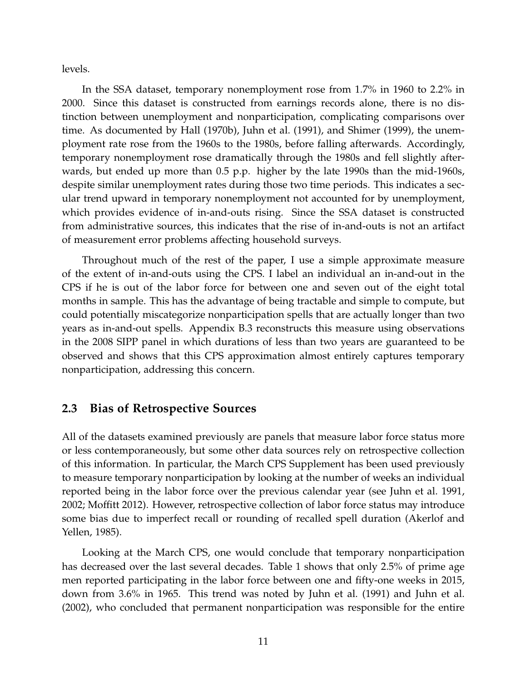levels.

In the SSA dataset, temporary nonemployment rose from 1.7% in 1960 to 2.2% in 2000. Since this dataset is constructed from earnings records alone, there is no distinction between unemployment and nonparticipation, complicating comparisons over time. As documented by [Hall](#page-33-5) [\(1970b\)](#page-33-5), [Juhn et al.](#page-34-3) [\(1991\)](#page-34-3), and [Shimer](#page-35-2) [\(1999\)](#page-35-2), the unemployment rate rose from the 1960s to the 1980s, before falling afterwards. Accordingly, temporary nonemployment rose dramatically through the 1980s and fell slightly afterwards, but ended up more than 0.5 p.p. higher by the late 1990s than the mid-1960s, despite similar unemployment rates during those two time periods. This indicates a secular trend upward in temporary nonemployment not accounted for by unemployment, which provides evidence of in-and-outs rising. Since the SSA dataset is constructed from administrative sources, this indicates that the rise of in-and-outs is not an artifact of measurement error problems affecting household surveys.

Throughout much of the rest of the paper, I use a simple approximate measure of the extent of in-and-outs using the CPS. I label an individual an in-and-out in the CPS if he is out of the labor force for between one and seven out of the eight total months in sample. This has the advantage of being tractable and simple to compute, but could potentially miscategorize nonparticipation spells that are actually longer than two years as in-and-out spells. Appendix [B.3](#page-42-0) reconstructs this measure using observations in the 2008 SIPP panel in which durations of less than two years are guaranteed to be observed and shows that this CPS approximation almost entirely captures temporary nonparticipation, addressing this concern.

#### **2.3 Bias of Retrospective Sources**

All of the datasets examined previously are panels that measure labor force status more or less contemporaneously, but some other data sources rely on retrospective collection of this information. In particular, the March CPS Supplement has been used previously to measure temporary nonparticipation by looking at the number of weeks an individual reported being in the labor force over the previous calendar year (see [Juhn et al. 1991,](#page-34-3) [2002;](#page-34-4) [Moffitt 2012\)](#page-34-2). However, retrospective collection of labor force status may introduce some bias due to imperfect recall or rounding of recalled spell duration [\(Akerlof and](#page-32-6) [Yellen, 1985\)](#page-32-6).

Looking at the March CPS, one would conclude that temporary nonparticipation has decreased over the last several decades. Table [1](#page-9-1) shows that only 2.5% of prime age men reported participating in the labor force between one and fifty-one weeks in 2015, down from 3.6% in 1965. This trend was noted by [Juhn et al.](#page-34-3) [\(1991\)](#page-34-3) and [Juhn et al.](#page-34-4) [\(2002\)](#page-34-4), who concluded that permanent nonparticipation was responsible for the entire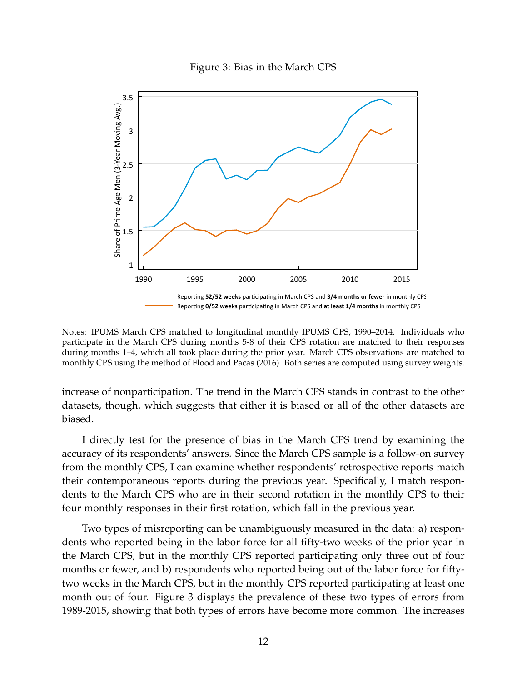

<span id="page-11-0"></span>

Notes: IPUMS March CPS matched to longitudinal monthly IPUMS CPS, 1990–2014. Individuals who participate in the March CPS during months 5-8 of their CPS rotation are matched to their responses during months 1–4, which all took place during the prior year. March CPS observations are matched to monthly CPS using the method of [Flood and Pacas](#page-33-6) [\(2016\)](#page-33-6). Both series are computed using survey weights.

increase of nonparticipation. The trend in the March CPS stands in contrast to the other datasets, though, which suggests that either it is biased or all of the other datasets are biased.

I directly test for the presence of bias in the March CPS trend by examining the accuracy of its respondents' answers. Since the March CPS sample is a follow-on survey from the monthly CPS, I can examine whether respondents' retrospective reports match their contemporaneous reports during the previous year. Specifically, I match respondents to the March CPS who are in their second rotation in the monthly CPS to their four monthly responses in their first rotation, which fall in the previous year.

Two types of misreporting can be unambiguously measured in the data: a) respondents who reported being in the labor force for all fifty-two weeks of the prior year in the March CPS, but in the monthly CPS reported participating only three out of four months or fewer, and b) respondents who reported being out of the labor force for fiftytwo weeks in the March CPS, but in the monthly CPS reported participating at least one month out of four. Figure [3](#page-11-0) displays the prevalence of these two types of errors from 1989-2015, showing that both types of errors have become more common. The increases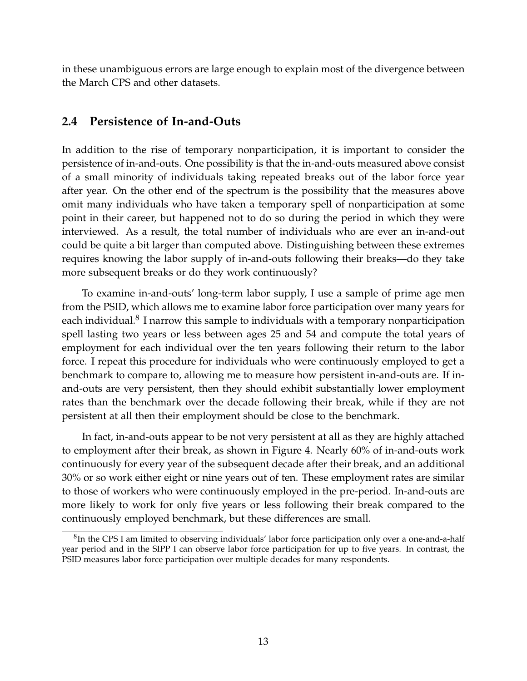in these unambiguous errors are large enough to explain most of the divergence between the March CPS and other datasets.

### **2.4 Persistence of In-and-Outs**

In addition to the rise of temporary nonparticipation, it is important to consider the persistence of in-and-outs. One possibility is that the in-and-outs measured above consist of a small minority of individuals taking repeated breaks out of the labor force year after year. On the other end of the spectrum is the possibility that the measures above omit many individuals who have taken a temporary spell of nonparticipation at some point in their career, but happened not to do so during the period in which they were interviewed. As a result, the total number of individuals who are ever an in-and-out could be quite a bit larger than computed above. Distinguishing between these extremes requires knowing the labor supply of in-and-outs following their breaks—do they take more subsequent breaks or do they work continuously?

To examine in-and-outs' long-term labor supply, I use a sample of prime age men from the PSID, which allows me to examine labor force participation over many years for each individual. $^8$  $^8$  I narrow this sample to individuals with a temporary nonparticipation spell lasting two years or less between ages 25 and 54 and compute the total years of employment for each individual over the ten years following their return to the labor force. I repeat this procedure for individuals who were continuously employed to get a benchmark to compare to, allowing me to measure how persistent in-and-outs are. If inand-outs are very persistent, then they should exhibit substantially lower employment rates than the benchmark over the decade following their break, while if they are not persistent at all then their employment should be close to the benchmark.

In fact, in-and-outs appear to be not very persistent at all as they are highly attached to employment after their break, as shown in Figure [4.](#page-13-1) Nearly 60% of in-and-outs work continuously for every year of the subsequent decade after their break, and an additional 30% or so work either eight or nine years out of ten. These employment rates are similar to those of workers who were continuously employed in the pre-period. In-and-outs are more likely to work for only five years or less following their break compared to the continuously employed benchmark, but these differences are small.

<span id="page-12-0"></span> ${}^{8}$ In the CPS I am limited to observing individuals' labor force participation only over a one-and-a-half year period and in the SIPP I can observe labor force participation for up to five years. In contrast, the PSID measures labor force participation over multiple decades for many respondents.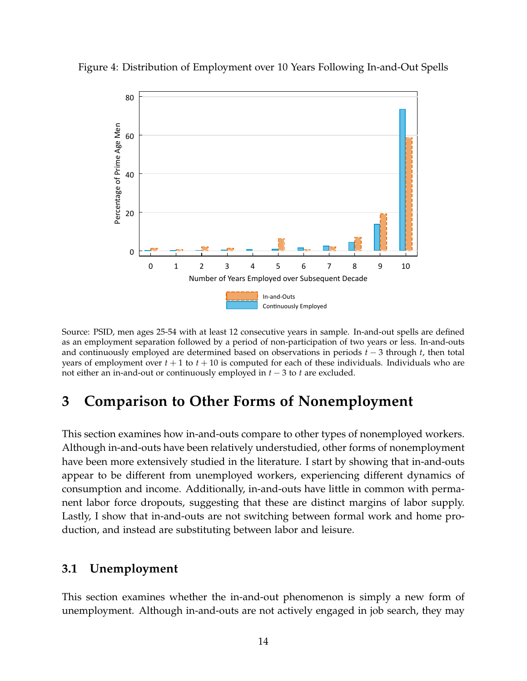

<span id="page-13-1"></span>Figure 4: Distribution of Employment over 10 Years Following In-and-Out Spells

Source: PSID, men ages 25-54 with at least 12 consecutive years in sample. In-and-out spells are defined as an employment separation followed by a period of non-participation of two years or less. In-and-outs and continuously employed are determined based on observations in periods *t* − 3 through *t*, then total years of employment over  $t + 1$  to  $t + 10$  is computed for each of these individuals. Individuals who are not either an in-and-out or continuously employed in *t* − 3 to *t* are excluded.

# **3 Comparison to Other Forms of Nonemployment**

This section examines how in-and-outs compare to other types of nonemployed workers. Although in-and-outs have been relatively understudied, other forms of nonemployment have been more extensively studied in the literature. I start by showing that in-and-outs appear to be different from unemployed workers, experiencing different dynamics of consumption and income. Additionally, in-and-outs have little in common with permanent labor force dropouts, suggesting that these are distinct margins of labor supply. Lastly, I show that in-and-outs are not switching between formal work and home production, and instead are substituting between labor and leisure.

#### <span id="page-13-0"></span>**3.1 Unemployment**

This section examines whether the in-and-out phenomenon is simply a new form of unemployment. Although in-and-outs are not actively engaged in job search, they may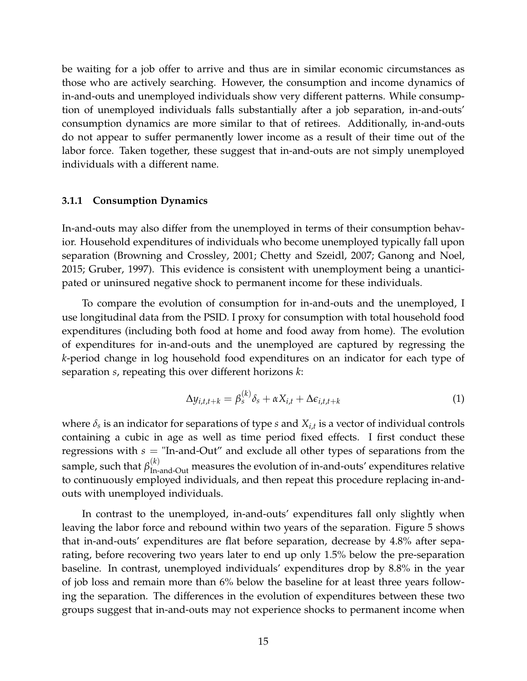be waiting for a job offer to arrive and thus are in similar economic circumstances as those who are actively searching. However, the consumption and income dynamics of in-and-outs and unemployed individuals show very different patterns. While consumption of unemployed individuals falls substantially after a job separation, in-and-outs' consumption dynamics are more similar to that of retirees. Additionally, in-and-outs do not appear to suffer permanently lower income as a result of their time out of the labor force. Taken together, these suggest that in-and-outs are not simply unemployed individuals with a different name.

#### **3.1.1 Consumption Dynamics**

In-and-outs may also differ from the unemployed in terms of their consumption behavior. Household expenditures of individuals who become unemployed typically fall upon separation [\(Browning and Crossley, 2001;](#page-32-7) [Chetty and Szeidl, 2007;](#page-32-8) [Ganong and Noel,](#page-33-7) [2015;](#page-33-7) [Gruber, 1997\)](#page-33-8). This evidence is consistent with unemployment being a unanticipated or uninsured negative shock to permanent income for these individuals.

To compare the evolution of consumption for in-and-outs and the unemployed, I use longitudinal data from the PSID. I proxy for consumption with total household food expenditures (including both food at home and food away from home). The evolution of expenditures for in-and-outs and the unemployed are captured by regressing the *k*-period change in log household food expenditures on an indicator for each type of separation *s*, repeating this over different horizons *k*:

<span id="page-14-0"></span>
$$
\Delta y_{i,t,t+k} = \beta_s^{(k)} \delta_s + \alpha X_{i,t} + \Delta \epsilon_{i,t,t+k}
$$
 (1)

where  $\delta_s$  is an indicator for separations of type  $s$  and  $X_{i,t}$  is a vector of individual controls containing a cubic in age as well as time period fixed effects. I first conduct these regressions with *s* = "In-and-Out" and exclude all other types of separations from the sample, such that  $\beta_{\text{In-and-Out}}^{(k)}$  measures the evolution of in-and-outs' expenditures relative to continuously employed individuals, and then repeat this procedure replacing in-andouts with unemployed individuals.

In contrast to the unemployed, in-and-outs' expenditures fall only slightly when leaving the labor force and rebound within two years of the separation. Figure [5](#page-15-0) shows that in-and-outs' expenditures are flat before separation, decrease by 4.8% after separating, before recovering two years later to end up only 1.5% below the pre-separation baseline. In contrast, unemployed individuals' expenditures drop by 8.8% in the year of job loss and remain more than 6% below the baseline for at least three years following the separation. The differences in the evolution of expenditures between these two groups suggest that in-and-outs may not experience shocks to permanent income when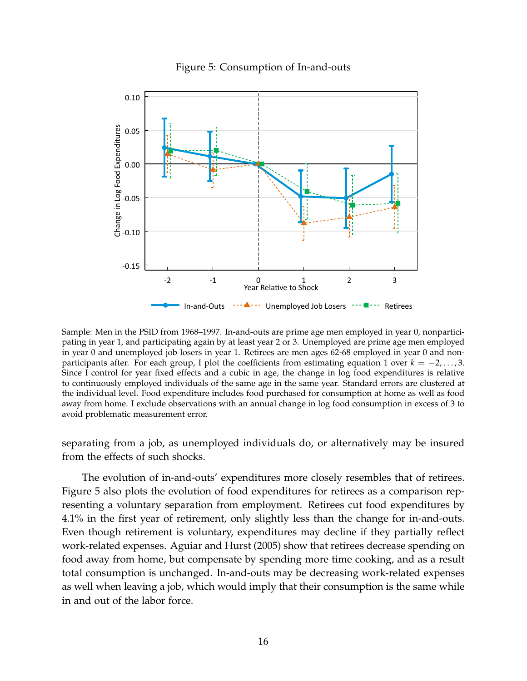

<span id="page-15-0"></span>

Sample: Men in the PSID from 1968–1997. In-and-outs are prime age men employed in year 0, nonparticipating in year 1, and participating again by at least year 2 or 3. Unemployed are prime age men employed in year 0 and unemployed job losers in year 1. Retirees are men ages 62-68 employed in year 0 and nonparticipants after. For each group, I plot the coefficients from estimating equation [1](#page-14-0) over *k* = −2, . . . , 3. Since I control for year fixed effects and a cubic in age, the change in log food expenditures is relative to continuously employed individuals of the same age in the same year. Standard errors are clustered at the individual level. Food expenditure includes food purchased for consumption at home as well as food away from home. I exclude observations with an annual change in log food consumption in excess of 3 to avoid problematic measurement error.

separating from a job, as unemployed individuals do, or alternatively may be insured from the effects of such shocks.

The evolution of in-and-outs' expenditures more closely resembles that of retirees. Figure [5](#page-15-0) also plots the evolution of food expenditures for retirees as a comparison representing a voluntary separation from employment. Retirees cut food expenditures by 4.1% in the first year of retirement, only slightly less than the change for in-and-outs. Even though retirement is voluntary, expenditures may decline if they partially reflect work-related expenses. [Aguiar and Hurst](#page-31-1) [\(2005\)](#page-31-1) show that retirees decrease spending on food away from home, but compensate by spending more time cooking, and as a result total consumption is unchanged. In-and-outs may be decreasing work-related expenses as well when leaving a job, which would imply that their consumption is the same while in and out of the labor force.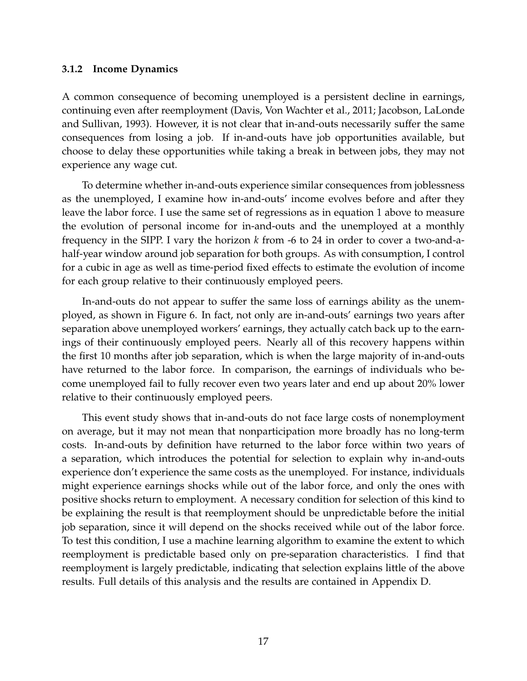#### <span id="page-16-0"></span>**3.1.2 Income Dynamics**

A common consequence of becoming unemployed is a persistent decline in earnings, continuing even after reemployment [\(Davis, Von Wachter et al., 2011;](#page-32-9) [Jacobson, LaLonde](#page-34-13) [and Sullivan, 1993\)](#page-34-13). However, it is not clear that in-and-outs necessarily suffer the same consequences from losing a job. If in-and-outs have job opportunities available, but choose to delay these opportunities while taking a break in between jobs, they may not experience any wage cut.

To determine whether in-and-outs experience similar consequences from joblessness as the unemployed, I examine how in-and-outs' income evolves before and after they leave the labor force. I use the same set of regressions as in equation [1](#page-14-0) above to measure the evolution of personal income for in-and-outs and the unemployed at a monthly frequency in the SIPP. I vary the horizon *k* from -6 to 24 in order to cover a two-and-ahalf-year window around job separation for both groups. As with consumption, I control for a cubic in age as well as time-period fixed effects to estimate the evolution of income for each group relative to their continuously employed peers.

In-and-outs do not appear to suffer the same loss of earnings ability as the unemployed, as shown in Figure [6.](#page-17-1) In fact, not only are in-and-outs' earnings two years after separation above unemployed workers' earnings, they actually catch back up to the earnings of their continuously employed peers. Nearly all of this recovery happens within the first 10 months after job separation, which is when the large majority of in-and-outs have returned to the labor force. In comparison, the earnings of individuals who become unemployed fail to fully recover even two years later and end up about 20% lower relative to their continuously employed peers.

This event study shows that in-and-outs do not face large costs of nonemployment on average, but it may not mean that nonparticipation more broadly has no long-term costs. In-and-outs by definition have returned to the labor force within two years of a separation, which introduces the potential for selection to explain why in-and-outs experience don't experience the same costs as the unemployed. For instance, individuals might experience earnings shocks while out of the labor force, and only the ones with positive shocks return to employment. A necessary condition for selection of this kind to be explaining the result is that reemployment should be unpredictable before the initial job separation, since it will depend on the shocks received while out of the labor force. To test this condition, I use a machine learning algorithm to examine the extent to which reemployment is predictable based only on pre-separation characteristics. I find that reemployment is largely predictable, indicating that selection explains little of the above results. Full details of this analysis and the results are contained in Appendix [D.](#page-46-0)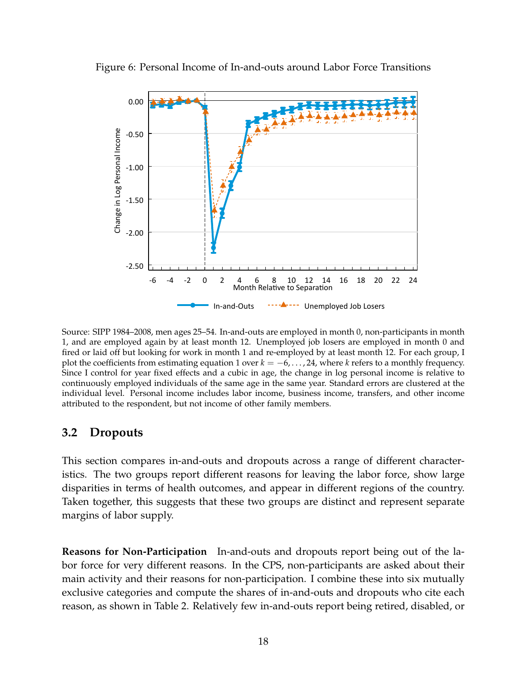

<span id="page-17-1"></span>Figure 6: Personal Income of In-and-outs around Labor Force Transitions

Source: SIPP 1984–2008, men ages 25–54. In-and-outs are employed in month 0, non-participants in month 1, and are employed again by at least month 12. Unemployed job losers are employed in month 0 and fired or laid off but looking for work in month 1 and re-employed by at least month 12. For each group, I plot the coefficients from estimating equation [1](#page-14-0) over  $k = -6, \ldots, 24$ , where  $k$  refers to a monthly frequency. Since I control for year fixed effects and a cubic in age, the change in log personal income is relative to continuously employed individuals of the same age in the same year. Standard errors are clustered at the individual level. Personal income includes labor income, business income, transfers, and other income attributed to the respondent, but not income of other family members.

#### <span id="page-17-0"></span>**3.2 Dropouts**

This section compares in-and-outs and dropouts across a range of different characteristics. The two groups report different reasons for leaving the labor force, show large disparities in terms of health outcomes, and appear in different regions of the country. Taken together, this suggests that these two groups are distinct and represent separate margins of labor supply.

**Reasons for Non-Participation** In-and-outs and dropouts report being out of the labor force for very different reasons. In the CPS, non-participants are asked about their main activity and their reasons for non-participation. I combine these into six mutually exclusive categories and compute the shares of in-and-outs and dropouts who cite each reason, as shown in Table [2.](#page-18-0) Relatively few in-and-outs report being retired, disabled, or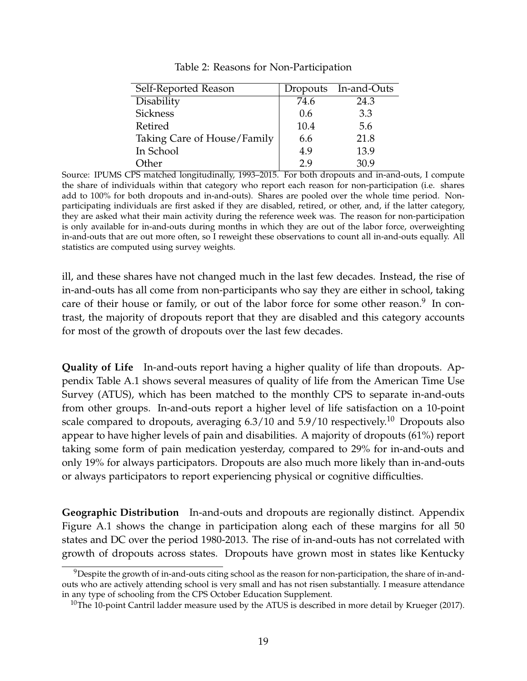<span id="page-18-0"></span>

| Self-Reported Reason        |      | Dropouts In-and-Outs |
|-----------------------------|------|----------------------|
| Disability                  | 74.6 | 24.3                 |
| <b>Sickness</b>             | 0.6  | 3.3                  |
| Retired                     | 10.4 | 5.6                  |
| Taking Care of House/Family | 6.6  | 21.8                 |
| In School                   | 4.9  | 13.9                 |
| )ther                       | 29   | 30.9                 |

Table 2: Reasons for Non-Participation

Source: IPUMS CPS matched longitudinally, 1993–2015. For both dropouts and in-and-outs, I compute the share of individuals within that category who report each reason for non-participation (i.e. shares add to 100% for both dropouts and in-and-outs). Shares are pooled over the whole time period. Nonparticipating individuals are first asked if they are disabled, retired, or other, and, if the latter category, they are asked what their main activity during the reference week was. The reason for non-participation is only available for in-and-outs during months in which they are out of the labor force, overweighting in-and-outs that are out more often, so I reweight these observations to count all in-and-outs equally. All statistics are computed using survey weights.

ill, and these shares have not changed much in the last few decades. Instead, the rise of in-and-outs has all come from non-participants who say they are either in school, taking care of their house or family, or out of the labor force for some other reason. $9\,$  $9\,$  In contrast, the majority of dropouts report that they are disabled and this category accounts for most of the growth of dropouts over the last few decades.

**Quality of Life** In-and-outs report having a higher quality of life than dropouts. Appendix Table [A.1](#page-35-3) shows several measures of quality of life from the American Time Use Survey (ATUS), which has been matched to the monthly CPS to separate in-and-outs from other groups. In-and-outs report a higher level of life satisfaction on a 10-point scale compared to dropouts, averaging  $6.3/10$  $6.3/10$  and  $5.9/10$  respectively.<sup>10</sup> Dropouts also appear to have higher levels of pain and disabilities. A majority of dropouts (61%) report taking some form of pain medication yesterday, compared to 29% for in-and-outs and only 19% for always participators. Dropouts are also much more likely than in-and-outs or always participators to report experiencing physical or cognitive difficulties.

**Geographic Distribution** In-and-outs and dropouts are regionally distinct. Appendix Figure [A.1](#page-36-0) shows the change in participation along each of these margins for all 50 states and DC over the period 1980-2013. The rise of in-and-outs has not correlated with growth of dropouts across states. Dropouts have grown most in states like Kentucky

<span id="page-18-1"></span> $9$ Despite the growth of in-and-outs citing school as the reason for non-participation, the share of in-andouts who are actively attending school is very small and has not risen substantially. I measure attendance in any type of schooling from the CPS October Education Supplement.

<span id="page-18-2"></span><sup>&</sup>lt;sup>10</sup>The 10-point Cantril ladder measure used by the ATUS is described in more detail by [Krueger](#page-34-5) [\(2017\)](#page-34-5).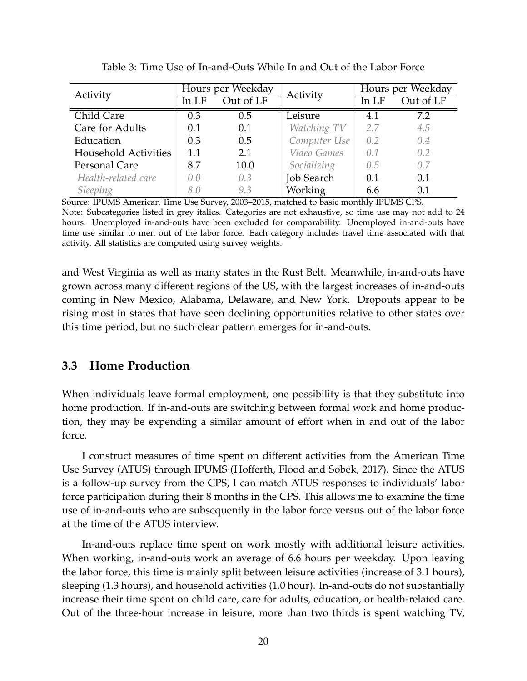<span id="page-19-0"></span>

| Activity             | Hours per Weekday |           | Activity          | Hours per Weekday |           |
|----------------------|-------------------|-----------|-------------------|-------------------|-----------|
|                      | In LF             | Out of LF |                   | In LF             | Out of LF |
| Child Care           | 0.3               | 0.5       | Leisure           | 4.1               | 7.2       |
| Care for Adults      | 0.1               | 0.1       | Watching TV       | 2.7               | 4.5       |
| Education            | 0.3               | 0.5       | Computer Use      | 0.2               | 0.4       |
| Household Activities | 1.1               | 2.1       | Video Games       | 0.1               | 0.2       |
| Personal Care        | 8.7               | 10.0      | Socializing       | 0.5               | 0.7       |
| Health-related care  | 0.0               | 0.3       | <b>Job Search</b> | 0.1               | 0.1       |
| Sleeping             | 8.0               | 9.3       | <b>Working</b>    | 6.6               | 0.1       |

Table 3: Time Use of In-and-Outs While In and Out of the Labor Force

Source: IPUMS American Time Use Survey, 2003–2015, matched to basic monthly IPUMS CPS. Note: Subcategories listed in grey italics. Categories are not exhaustive, so time use may not add to 24 hours. Unemployed in-and-outs have been excluded for comparability. Unemployed in-and-outs have time use similar to men out of the labor force. Each category includes travel time associated with that activity. All statistics are computed using survey weights.

and West Virginia as well as many states in the Rust Belt. Meanwhile, in-and-outs have grown across many different regions of the US, with the largest increases of in-and-outs coming in New Mexico, Alabama, Delaware, and New York. Dropouts appear to be rising most in states that have seen declining opportunities relative to other states over this time period, but no such clear pattern emerges for in-and-outs.

### **3.3 Home Production**

When individuals leave formal employment, one possibility is that they substitute into home production. If in-and-outs are switching between formal work and home production, they may be expending a similar amount of effort when in and out of the labor force.

I construct measures of time spent on different activities from the American Time Use Survey (ATUS) through IPUMS [\(Hofferth, Flood and Sobek, 2017\)](#page-33-9). Since the ATUS is a follow-up survey from the CPS, I can match ATUS responses to individuals' labor force participation during their 8 months in the CPS. This allows me to examine the time use of in-and-outs who are subsequently in the labor force versus out of the labor force at the time of the ATUS interview.

In-and-outs replace time spent on work mostly with additional leisure activities. When working, in-and-outs work an average of 6.6 hours per weekday. Upon leaving the labor force, this time is mainly split between leisure activities (increase of 3.1 hours), sleeping (1.3 hours), and household activities (1.0 hour). In-and-outs do not substantially increase their time spent on child care, care for adults, education, or health-related care. Out of the three-hour increase in leisure, more than two thirds is spent watching TV,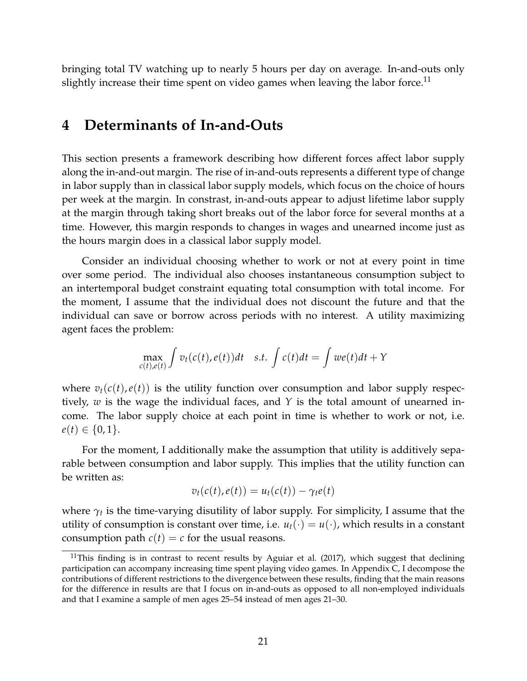bringing total TV watching up to nearly 5 hours per day on average. In-and-outs only slightly increase their time spent on video games when leaving the labor force.<sup>[11](#page-20-0)</sup>

### **4 Determinants of In-and-Outs**

This section presents a framework describing how different forces affect labor supply along the in-and-out margin. The rise of in-and-outs represents a different type of change in labor supply than in classical labor supply models, which focus on the choice of hours per week at the margin. In constrast, in-and-outs appear to adjust lifetime labor supply at the margin through taking short breaks out of the labor force for several months at a time. However, this margin responds to changes in wages and unearned income just as the hours margin does in a classical labor supply model.

Consider an individual choosing whether to work or not at every point in time over some period. The individual also chooses instantaneous consumption subject to an intertemporal budget constraint equating total consumption with total income. For the moment, I assume that the individual does not discount the future and that the individual can save or borrow across periods with no interest. A utility maximizing agent faces the problem:

$$
\max_{c(t),e(t)} \int v_t(c(t),e(t))dt \quad s.t. \int c(t)dt = \int w e(t)dt + Y
$$

where  $v_t(c(t), e(t))$  is the utility function over consumption and labor supply respectively, *w* is the wage the individual faces, and *Y* is the total amount of unearned income. The labor supply choice at each point in time is whether to work or not, i.e.  $e(t) \in \{0,1\}.$ 

For the moment, I additionally make the assumption that utility is additively separable between consumption and labor supply. This implies that the utility function can be written as:

$$
v_t(c(t), e(t)) = u_t(c(t)) - \gamma_t e(t)
$$

where  $\gamma_t$  is the time-varying disutility of labor supply. For simplicity, I assume that the utility of consumption is constant over time, i.e.  $u_t(\cdot) = u(\cdot)$ , which results in a constant consumption path  $c(t) = c$  for the usual reasons.

<span id="page-20-0"></span> $11$ This finding is in contrast to recent results by [Aguiar et al.](#page-31-0) [\(2017\)](#page-31-0), which suggest that declining participation can accompany increasing time spent playing video games. In Appendix [C,](#page-45-0) I decompose the contributions of different restrictions to the divergence between these results, finding that the main reasons for the difference in results are that I focus on in-and-outs as opposed to all non-employed individuals and that I examine a sample of men ages 25–54 instead of men ages 21–30.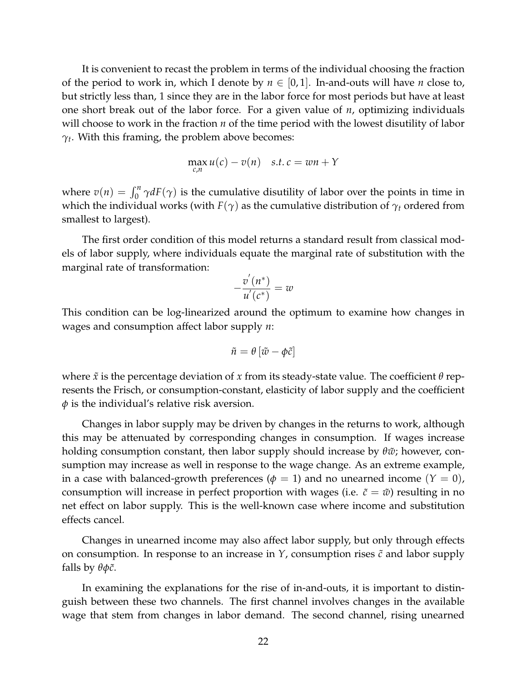It is convenient to recast the problem in terms of the individual choosing the fraction of the period to work in, which I denote by  $n \in [0,1]$ . In-and-outs will have *n* close to, but strictly less than, 1 since they are in the labor force for most periods but have at least one short break out of the labor force. For a given value of *n*, optimizing individuals will choose to work in the fraction *n* of the time period with the lowest disutility of labor  $\gamma_t$ . With this framing, the problem above becomes:

$$
\max_{c,n} u(c) - v(n) \quad s.t. \, c = wn + Y
$$

where  $v(n) = \int_0^n \gamma dF(\gamma)$  is the cumulative disutility of labor over the points in time in which the individual works (with  $F(\gamma)$  as the cumulative distribution of  $\gamma_t$  ordered from smallest to largest).

The first order condition of this model returns a standard result from classical models of labor supply, where individuals equate the marginal rate of substitution with the marginal rate of transformation:

$$
-\frac{v'(n^*)}{u'(c^*)}=w
$$

This condition can be log-linearized around the optimum to examine how changes in wages and consumption affect labor supply *n*:

$$
\tilde{n} = \theta \left[ \tilde{w} - \phi \tilde{c} \right]
$$

where *x*˜ is the percentage deviation of *x* from its steady-state value. The coefficient *θ* represents the Frisch, or consumption-constant, elasticity of labor supply and the coefficient *φ* is the individual's relative risk aversion.

Changes in labor supply may be driven by changes in the returns to work, although this may be attenuated by corresponding changes in consumption. If wages increase holding consumption constant, then labor supply should increase by *θw*˜; however, consumption may increase as well in response to the wage change. As an extreme example, in a case with balanced-growth preferences ( $\phi = 1$ ) and no unearned income ( $Y = 0$ ), consumption will increase in perfect proportion with wages (i.e.  $\tilde{c} = \tilde{w}$ ) resulting in no net effect on labor supply. This is the well-known case where income and substitution effects cancel.

Changes in unearned income may also affect labor supply, but only through effects on consumption. In response to an increase in  $Y$ , consumption rises  $\tilde{c}$  and labor supply falls by  $θφ\tilde{c}$ .

In examining the explanations for the rise of in-and-outs, it is important to distinguish between these two channels. The first channel involves changes in the available wage that stem from changes in labor demand. The second channel, rising unearned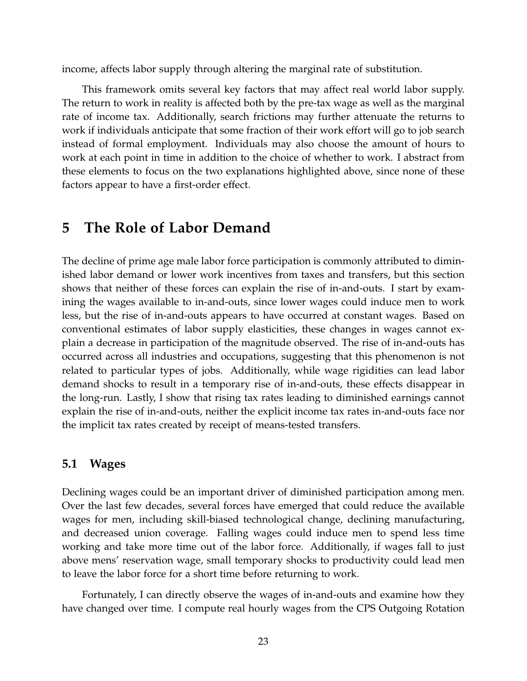income, affects labor supply through altering the marginal rate of substitution.

This framework omits several key factors that may affect real world labor supply. The return to work in reality is affected both by the pre-tax wage as well as the marginal rate of income tax. Additionally, search frictions may further attenuate the returns to work if individuals anticipate that some fraction of their work effort will go to job search instead of formal employment. Individuals may also choose the amount of hours to work at each point in time in addition to the choice of whether to work. I abstract from these elements to focus on the two explanations highlighted above, since none of these factors appear to have a first-order effect.

### **5 The Role of Labor Demand**

The decline of prime age male labor force participation is commonly attributed to diminished labor demand or lower work incentives from taxes and transfers, but this section shows that neither of these forces can explain the rise of in-and-outs. I start by examining the wages available to in-and-outs, since lower wages could induce men to work less, but the rise of in-and-outs appears to have occurred at constant wages. Based on conventional estimates of labor supply elasticities, these changes in wages cannot explain a decrease in participation of the magnitude observed. The rise of in-and-outs has occurred across all industries and occupations, suggesting that this phenomenon is not related to particular types of jobs. Additionally, while wage rigidities can lead labor demand shocks to result in a temporary rise of in-and-outs, these effects disappear in the long-run. Lastly, I show that rising tax rates leading to diminished earnings cannot explain the rise of in-and-outs, neither the explicit income tax rates in-and-outs face nor the implicit tax rates created by receipt of means-tested transfers.

#### **5.1 Wages**

Declining wages could be an important driver of diminished participation among men. Over the last few decades, several forces have emerged that could reduce the available wages for men, including skill-biased technological change, declining manufacturing, and decreased union coverage. Falling wages could induce men to spend less time working and take more time out of the labor force. Additionally, if wages fall to just above mens' reservation wage, small temporary shocks to productivity could lead men to leave the labor force for a short time before returning to work.

Fortunately, I can directly observe the wages of in-and-outs and examine how they have changed over time. I compute real hourly wages from the CPS Outgoing Rotation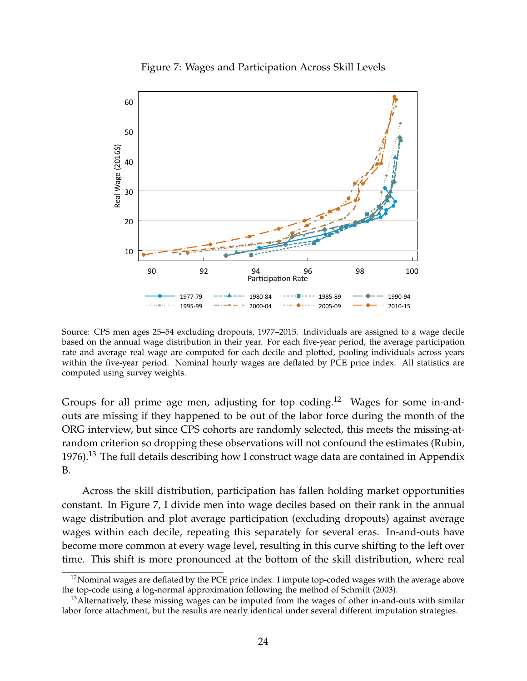<span id="page-23-2"></span>

Figure 7: Wages and Participation Across Skill Levels

Source: CPS men ages 25–54 excluding dropouts, 1977–2015. Individuals are assigned to a wage decile based on the annual wage distribution in their year. For each five-year period, the average participation rate and average real wage are computed for each decile and plotted, pooling individuals across years within the five-year period. Nominal hourly wages are deflated by PCE price index. All statistics are computed using survey weights.

Groups for all prime age men, adjusting for top coding.<sup>[12](#page-23-0)</sup> Wages for some in-andouts are missing if they happened to be out of the labor force during the month of the ORG interview, but since CPS cohorts are randomly selected, this meets the missing-atrandom criterion so dropping these observations will not confound the estimates [\(Rubin,](#page-34-11) [1976\)](#page-34-11).<sup>[13](#page-23-1)</sup> The full details describing how I construct wage data are contained in Appendix [B.](#page-38-1)

Across the skill distribution, participation has fallen holding market opportunities constant. In Figure [7,](#page-23-2) I divide men into wage deciles based on their rank in the annual wage distribution and plot average participation (excluding dropouts) against average wages within each decile, repeating this separately for several eras. In-and-outs have become more common at every wage level, resulting in this curve shifting to the left over time. This shift is more pronounced at the bottom of the skill distribution, where real

<span id="page-23-0"></span> $12$ Nominal wages are deflated by the PCE price index. I impute top-coded wages with the average above the top-code using a log-normal approximation following the method of [Schmitt](#page-34-14) [\(2003\)](#page-34-14).

<span id="page-23-1"></span> $13$ Alternatively, these missing wages can be imputed from the wages of other in-and-outs with similar labor force attachment, but the results are nearly identical under several different imputation strategies.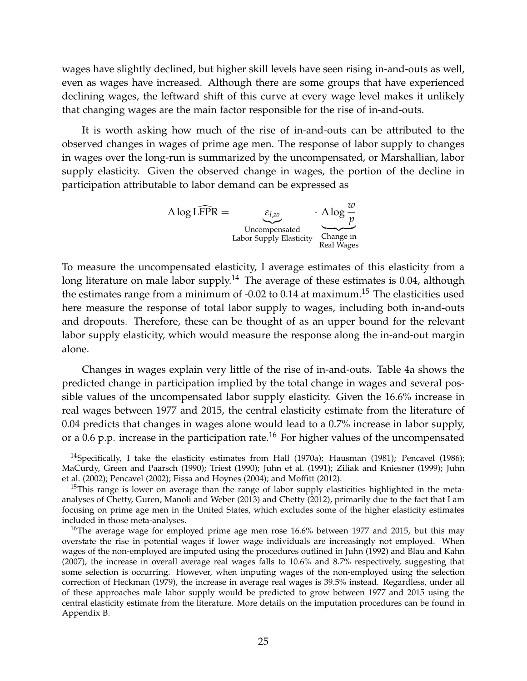wages have slightly declined, but higher skill levels have seen rising in-and-outs as well, even as wages have increased. Although there are some groups that have experienced declining wages, the leftward shift of this curve at every wage level makes it unlikely that changing wages are the main factor responsible for the rise of in-and-outs.

It is worth asking how much of the rise of in-and-outs can be attributed to the observed changes in wages of prime age men. The response of labor supply to changes in wages over the long-run is summarized by the uncompensated, or Marshallian, labor supply elasticity. Given the observed change in wages, the portion of the decline in participation attributable to labor demand can be expressed as

> $\triangle$  log LFPR =  $\epsilon_{l,w}$ Uncompensated Labor Supply Elasticity · <sup>∆</sup> log *<sup>w</sup> p* Change in Real Wages

To measure the uncompensated elasticity, I average estimates of this elasticity from a long literature on male labor supply.<sup>[14](#page-24-0)</sup> The average of these estimates is 0.04, although the estimates range from a minimum of -0.02 to 0.14 at maximum.<sup>[15](#page-24-1)</sup> The elasticities used here measure the response of total labor supply to wages, including both in-and-outs and dropouts. Therefore, these can be thought of as an upper bound for the relevant labor supply elasticity, which would measure the response along the in-and-out margin alone.

Changes in wages explain very little of the rise of in-and-outs. Table [4a](#page-25-0) shows the predicted change in participation implied by the total change in wages and several possible values of the uncompensated labor supply elasticity. Given the 16.6% increase in real wages between 1977 and 2015, the central elasticity estimate from the literature of 0.04 predicts that changes in wages alone would lead to a 0.7% increase in labor supply, or a 0.6 p.p. increase in the participation rate.<sup>[16](#page-24-2)</sup> For higher values of the uncompensated

<span id="page-24-0"></span><sup>&</sup>lt;sup>14</sup>Specifically, I take the elasticity estimates from [Hall](#page-33-10) [\(1970a\)](#page-33-10); [Hausman](#page-33-11) [\(1981\)](#page-33-11); [Pencavel](#page-34-15) [\(1986\)](#page-34-15); [MaCurdy, Green and Paarsch](#page-34-16) [\(1990\)](#page-34-16); [Triest](#page-35-4) [\(1990\)](#page-35-4); [Juhn et al.](#page-34-3) [\(1991\)](#page-34-3); [Ziliak and Kniesner](#page-35-5) [\(1999\)](#page-35-5); [Juhn](#page-34-4) [et al.](#page-34-4) [\(2002\)](#page-34-4); [Pencavel](#page-34-17) [\(2002\)](#page-34-17); [Eissa and Hoynes](#page-32-10) [\(2004\)](#page-32-10); and [Moffitt](#page-34-2) [\(2012\)](#page-34-2).

<span id="page-24-1"></span> $15$ This range is lower on average than the range of labor supply elasticities highlighted in the metaanalyses of [Chetty, Guren, Manoli and Weber](#page-32-11) [\(2013\)](#page-32-11) and [Chetty](#page-32-12) [\(2012\)](#page-32-12), primarily due to the fact that I am focusing on prime age men in the United States, which excludes some of the higher elasticity estimates included in those meta-analyses.

<span id="page-24-2"></span><sup>&</sup>lt;sup>16</sup>The average wage for employed prime age men rose  $16.6\%$  between 1977 and 2015, but this may overstate the rise in potential wages if lower wage individuals are increasingly not employed. When wages of the non-employed are imputed using the procedures outlined in [Juhn](#page-34-0) [\(1992\)](#page-34-0) and [Blau and Kahn](#page-32-13) [\(2007\)](#page-32-13), the increase in overall average real wages falls to 10.6% and 8.7% respectively, suggesting that some selection is occurring. However, when imputing wages of the non-employed using the selection correction of [Heckman](#page-33-12) [\(1979\)](#page-33-12), the increase in average real wages is 39.5% instead. Regardless, under all of these approaches male labor supply would be predicted to grow between 1977 and 2015 using the central elasticity estimate from the literature. More details on the imputation procedures can be found in Appendix [B.](#page-38-1)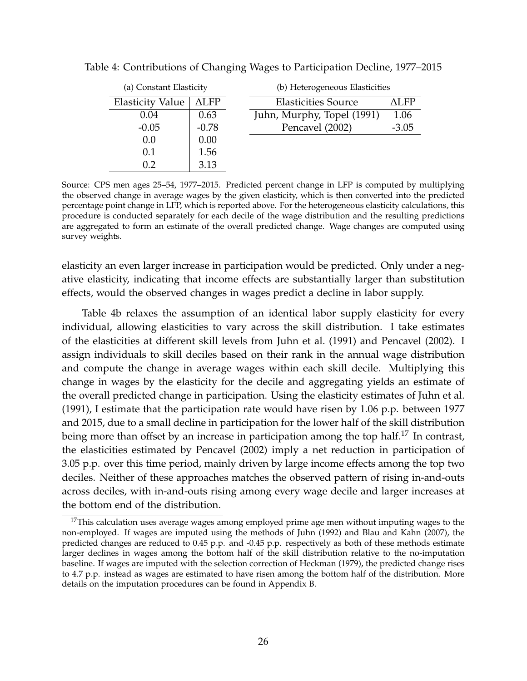<span id="page-25-1"></span>

| (a) Constant Elasticity |                    |                            | (b) Heterogeneous Elasticities |  |  |
|-------------------------|--------------------|----------------------------|--------------------------------|--|--|
| <b>Elasticity Value</b> | $\Delta\text{LFP}$ | <b>Elasticities Source</b> | ALFP                           |  |  |
| 0.04                    | 0.63               | Juhn, Murphy, Topel (1991) | 1.06                           |  |  |
| $-0.05$                 | $-0.78$            | Pencavel (2002)            | $-3.05$                        |  |  |
| 0.0                     | 0.00               |                            |                                |  |  |
| 0.1                     | 1.56               |                            |                                |  |  |
| 0.2                     | 3.13               |                            |                                |  |  |

<span id="page-25-0"></span>Table 4: Contributions of Changing Wages to Participation Decline, 1977–2015

Source: CPS men ages 25–54, 1977–2015. Predicted percent change in LFP is computed by multiplying the observed change in average wages by the given elasticity, which is then converted into the predicted percentage point change in LFP, which is reported above. For the heterogeneous elasticity calculations, this procedure is conducted separately for each decile of the wage distribution and the resulting predictions are aggregated to form an estimate of the overall predicted change. Wage changes are computed using survey weights.

elasticity an even larger increase in participation would be predicted. Only under a negative elasticity, indicating that income effects are substantially larger than substitution effects, would the observed changes in wages predict a decline in labor supply.

Table [4b](#page-25-1) relaxes the assumption of an identical labor supply elasticity for every individual, allowing elasticities to vary across the skill distribution. I take estimates of the elasticities at different skill levels from [Juhn et al.](#page-34-3) [\(1991\)](#page-34-3) and [Pencavel](#page-34-17) [\(2002\)](#page-34-17). I assign individuals to skill deciles based on their rank in the annual wage distribution and compute the change in average wages within each skill decile. Multiplying this change in wages by the elasticity for the decile and aggregating yields an estimate of the overall predicted change in participation. Using the elasticity estimates of [Juhn et al.](#page-34-3) [\(1991\)](#page-34-3), I estimate that the participation rate would have risen by 1.06 p.p. between 1977 and 2015, due to a small decline in participation for the lower half of the skill distribution being more than offset by an increase in participation among the top half.<sup>[17](#page-25-2)</sup> In contrast, the elasticities estimated by [Pencavel](#page-34-17) [\(2002\)](#page-34-17) imply a net reduction in participation of 3.05 p.p. over this time period, mainly driven by large income effects among the top two deciles. Neither of these approaches matches the observed pattern of rising in-and-outs across deciles, with in-and-outs rising among every wage decile and larger increases at the bottom end of the distribution.

<span id="page-25-2"></span> $17$ This calculation uses average wages among employed prime age men without imputing wages to the non-employed. If wages are imputed using the methods of [Juhn](#page-34-0) [\(1992\)](#page-34-0) and [Blau and Kahn](#page-32-13) [\(2007\)](#page-32-13), the predicted changes are reduced to 0.45 p.p. and -0.45 p.p. respectively as both of these methods estimate larger declines in wages among the bottom half of the skill distribution relative to the no-imputation baseline. If wages are imputed with the selection correction of [Heckman](#page-33-12) [\(1979\)](#page-33-12), the predicted change rises to 4.7 p.p. instead as wages are estimated to have risen among the bottom half of the distribution. More details on the imputation procedures can be found in Appendix [B.](#page-38-1)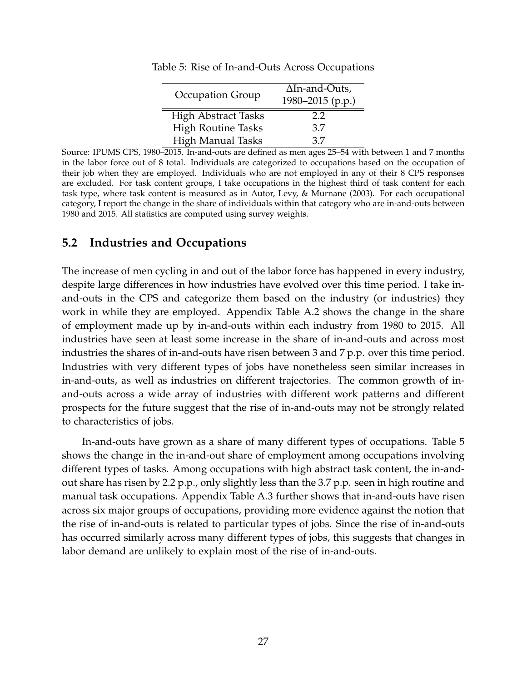|                            | $\Delta$ In-and-Outs, |  |  |
|----------------------------|-----------------------|--|--|
| Occupation Group           | 1980-2015 (p.p.)      |  |  |
| <b>High Abstract Tasks</b> | 2.2                   |  |  |
| <b>High Routine Tasks</b>  | 3.7                   |  |  |
| <b>High Manual Tasks</b>   | 37                    |  |  |

<span id="page-26-0"></span>Table 5: Rise of In-and-Outs Across Occupations

Source: IPUMS CPS, 1980–2015. In-and-outs are defined as men ages 25–54 with between 1 and 7 months in the labor force out of 8 total. Individuals are categorized to occupations based on the occupation of their job when they are employed. Individuals who are not employed in any of their 8 CPS responses are excluded. For task content groups, I take occupations in the highest third of task content for each task type, where task content is measured as in Autor, Levy, & Murnane (2003). For each occupational category, I report the change in the share of individuals within that category who are in-and-outs between 1980 and 2015. All statistics are computed using survey weights.

### **5.2 Industries and Occupations**

The increase of men cycling in and out of the labor force has happened in every industry, despite large differences in how industries have evolved over this time period. I take inand-outs in the CPS and categorize them based on the industry (or industries) they work in while they are employed. Appendix Table [A.2](#page-37-0) shows the change in the share of employment made up by in-and-outs within each industry from 1980 to 2015. All industries have seen at least some increase in the share of in-and-outs and across most industries the shares of in-and-outs have risen between 3 and 7 p.p. over this time period. Industries with very different types of jobs have nonetheless seen similar increases in in-and-outs, as well as industries on different trajectories. The common growth of inand-outs across a wide array of industries with different work patterns and different prospects for the future suggest that the rise of in-and-outs may not be strongly related to characteristics of jobs.

In-and-outs have grown as a share of many different types of occupations. Table [5](#page-26-0) shows the change in the in-and-out share of employment among occupations involving different types of tasks. Among occupations with high abstract task content, the in-andout share has risen by 2.2 p.p., only slightly less than the 3.7 p.p. seen in high routine and manual task occupations. Appendix Table [A.3](#page-37-1) further shows that in-and-outs have risen across six major groups of occupations, providing more evidence against the notion that the rise of in-and-outs is related to particular types of jobs. Since the rise of in-and-outs has occurred similarly across many different types of jobs, this suggests that changes in labor demand are unlikely to explain most of the rise of in-and-outs.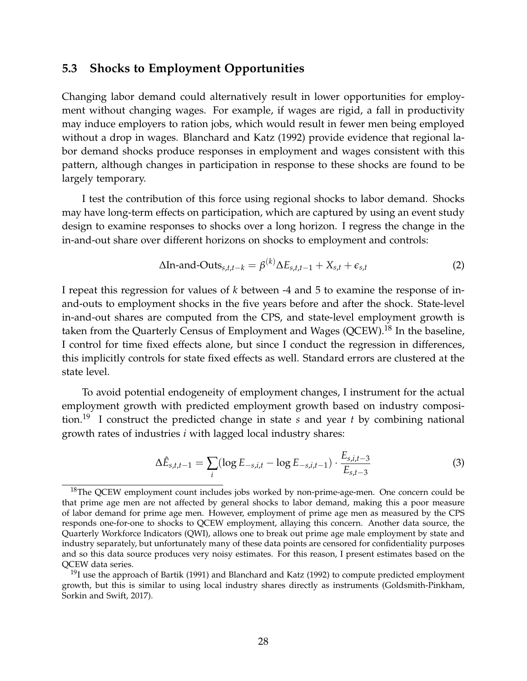#### **5.3 Shocks to Employment Opportunities**

Changing labor demand could alternatively result in lower opportunities for employment without changing wages. For example, if wages are rigid, a fall in productivity may induce employers to ration jobs, which would result in fewer men being employed without a drop in wages. [Blanchard and Katz](#page-32-14) [\(1992\)](#page-32-14) provide evidence that regional labor demand shocks produce responses in employment and wages consistent with this pattern, although changes in participation in response to these shocks are found to be largely temporary.

I test the contribution of this force using regional shocks to labor demand. Shocks may have long-term effects on participation, which are captured by using an event study design to examine responses to shocks over a long horizon. I regress the change in the in-and-out share over different horizons on shocks to employment and controls:

<span id="page-27-2"></span>
$$
\Delta \text{In-and-Outs}_{s,t,t-k} = \beta^{(k)} \Delta E_{s,t,t-1} + X_{s,t} + \epsilon_{s,t}
$$
 (2)

I repeat this regression for values of *k* between -4 and 5 to examine the response of inand-outs to employment shocks in the five years before and after the shock. State-level in-and-out shares are computed from the CPS, and state-level employment growth is taken from the Quarterly Census of Employment and Wages (QCEW).<sup>[18](#page-27-0)</sup> In the baseline, I control for time fixed effects alone, but since I conduct the regression in differences, this implicitly controls for state fixed effects as well. Standard errors are clustered at the state level.

To avoid potential endogeneity of employment changes, I instrument for the actual employment growth with predicted employment growth based on industry composition.[19](#page-27-1) I construct the predicted change in state *s* and year *t* by combining national growth rates of industries *i* with lagged local industry shares:

<span id="page-27-3"></span>
$$
\Delta \hat{E}_{s,t,t-1} = \sum_{i} (\log E_{-s,i,t} - \log E_{-s,i,t-1}) \cdot \frac{E_{s,i,t-3}}{E_{s,t-3}}
$$
(3)

<span id="page-27-0"></span> $18$ The QCEW employment count includes jobs worked by non-prime-age-men. One concern could be that prime age men are not affected by general shocks to labor demand, making this a poor measure of labor demand for prime age men. However, employment of prime age men as measured by the CPS responds one-for-one to shocks to QCEW employment, allaying this concern. Another data source, the Quarterly Workforce Indicators (QWI), allows one to break out prime age male employment by state and industry separately, but unfortunately many of these data points are censored for confidentiality purposes and so this data source produces very noisy estimates. For this reason, I present estimates based on the QCEW data series.

<span id="page-27-1"></span> $19$ I use the approach of [Bartik](#page-32-15) [\(1991\)](#page-32-15) and [Blanchard and Katz](#page-32-14) [\(1992\)](#page-32-14) to compute predicted employment growth, but this is similar to using local industry shares directly as instruments [\(Goldsmith-Pinkham,](#page-33-13) [Sorkin and Swift, 2017\)](#page-33-13).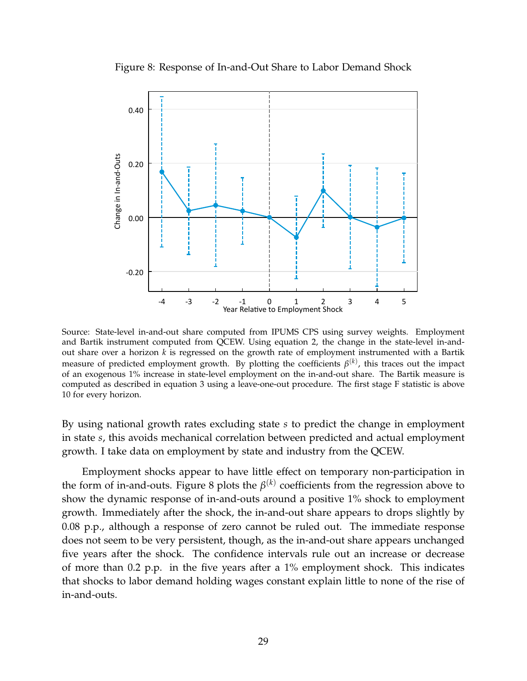Figure 8: Response of In-and-Out Share to Labor Demand Shock

<span id="page-28-0"></span>

Source: State-level in-and-out share computed from IPUMS CPS using survey weights. Employment and Bartik instrument computed from QCEW. Using equation [2,](#page-27-2) the change in the state-level in-andout share over a horizon *k* is regressed on the growth rate of employment instrumented with a Bartik measure of predicted employment growth. By plotting the coefficients *β* (*k*) , this traces out the impact of an exogenous 1% increase in state-level employment on the in-and-out share. The Bartik measure is computed as described in equation [3](#page-27-3) using a leave-one-out procedure. The first stage F statistic is above 10 for every horizon.

By using national growth rates excluding state *s* to predict the change in employment in state *s*, this avoids mechanical correlation between predicted and actual employment growth. I take data on employment by state and industry from the QCEW.

Employment shocks appear to have little effect on temporary non-participation in the form of in-and-outs. Figure [8](#page-28-0) plots the  $\beta^{(k)}$  coefficients from the regression above to show the dynamic response of in-and-outs around a positive 1% shock to employment growth. Immediately after the shock, the in-and-out share appears to drops slightly by 0.08 p.p., although a response of zero cannot be ruled out. The immediate response does not seem to be very persistent, though, as the in-and-out share appears unchanged five years after the shock. The confidence intervals rule out an increase or decrease of more than 0.2 p.p. in the five years after a 1% employment shock. This indicates that shocks to labor demand holding wages constant explain little to none of the rise of in-and-outs.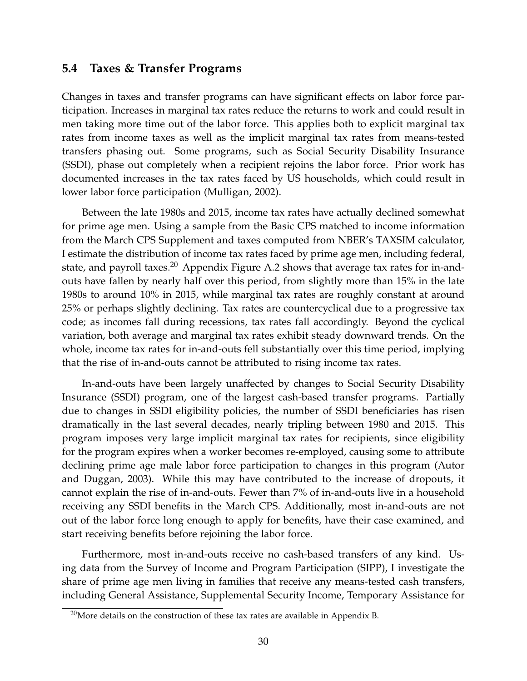#### **5.4 Taxes & Transfer Programs**

Changes in taxes and transfer programs can have significant effects on labor force participation. Increases in marginal tax rates reduce the returns to work and could result in men taking more time out of the labor force. This applies both to explicit marginal tax rates from income taxes as well as the implicit marginal tax rates from means-tested transfers phasing out. Some programs, such as Social Security Disability Insurance (SSDI), phase out completely when a recipient rejoins the labor force. Prior work has documented increases in the tax rates faced by US households, which could result in lower labor force participation [\(Mulligan, 2002\)](#page-34-18).

Between the late 1980s and 2015, income tax rates have actually declined somewhat for prime age men. Using a sample from the Basic CPS matched to income information from the March CPS Supplement and taxes computed from NBER's TAXSIM calculator, I estimate the distribution of income tax rates faced by prime age men, including federal, state, and payroll taxes.<sup>[20](#page-29-0)</sup> Appendix Figure [A.2](#page-38-2) shows that average tax rates for in-andouts have fallen by nearly half over this period, from slightly more than 15% in the late 1980s to around 10% in 2015, while marginal tax rates are roughly constant at around 25% or perhaps slightly declining. Tax rates are countercyclical due to a progressive tax code; as incomes fall during recessions, tax rates fall accordingly. Beyond the cyclical variation, both average and marginal tax rates exhibit steady downward trends. On the whole, income tax rates for in-and-outs fell substantially over this time period, implying that the rise of in-and-outs cannot be attributed to rising income tax rates.

In-and-outs have been largely unaffected by changes to Social Security Disability Insurance (SSDI) program, one of the largest cash-based transfer programs. Partially due to changes in SSDI eligibility policies, the number of SSDI beneficiaries has risen dramatically in the last several decades, nearly tripling between 1980 and 2015. This program imposes very large implicit marginal tax rates for recipients, since eligibility for the program expires when a worker becomes re-employed, causing some to attribute declining prime age male labor force participation to changes in this program [\(Autor](#page-32-3) [and Duggan, 2003\)](#page-32-3). While this may have contributed to the increase of dropouts, it cannot explain the rise of in-and-outs. Fewer than 7% of in-and-outs live in a household receiving any SSDI benefits in the March CPS. Additionally, most in-and-outs are not out of the labor force long enough to apply for benefits, have their case examined, and start receiving benefits before rejoining the labor force.

Furthermore, most in-and-outs receive no cash-based transfers of any kind. Using data from the Survey of Income and Program Participation (SIPP), I investigate the share of prime age men living in families that receive any means-tested cash transfers, including General Assistance, Supplemental Security Income, Temporary Assistance for

<span id="page-29-0"></span> $^{20}$ More details on the construction of these tax rates are available in Appendix [B.](#page-38-1)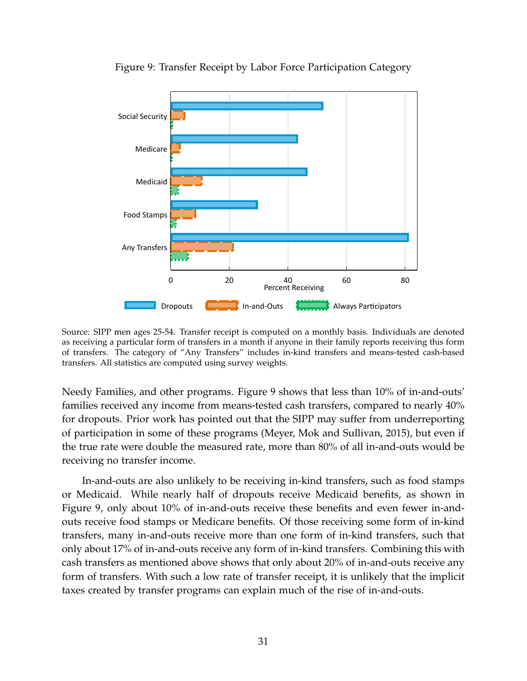<span id="page-30-0"></span>

Figure 9: Transfer Receipt by Labor Force Participation Category

Source: SIPP men ages 25-54. Transfer receipt is computed on a monthly basis. Individuals are denoted as receiving a particular form of transfers in a month if anyone in their family reports receiving this form of transfers. The category of "Any Transfers" includes in-kind transfers and means-tested cash-based transfers. All statistics are computed using survey weights.

Needy Families, and other programs. Figure [9](#page-30-0) shows that less than 10% of in-and-outs' families received any income from means-tested cash transfers, compared to nearly 40% for dropouts. Prior work has pointed out that the SIPP may suffer from underreporting of participation in some of these programs [\(Meyer, Mok and Sullivan, 2015\)](#page-34-19), but even if the true rate were double the measured rate, more than 80% of all in-and-outs would be receiving no transfer income.

In-and-outs are also unlikely to be receiving in-kind transfers, such as food stamps or Medicaid. While nearly half of dropouts receive Medicaid benefits, as shown in Figure [9,](#page-30-0) only about 10% of in-and-outs receive these benefits and even fewer in-andouts receive food stamps or Medicare benefits. Of those receiving some form of in-kind transfers, many in-and-outs receive more than one form of in-kind transfers, such that only about 17% of in-and-outs receive any form of in-kind transfers. Combining this with cash transfers as mentioned above shows that only about 20% of in-and-outs receive any form of transfers. With such a low rate of transfer receipt, it is unlikely that the implicit taxes created by transfer programs can explain much of the rise of in-and-outs.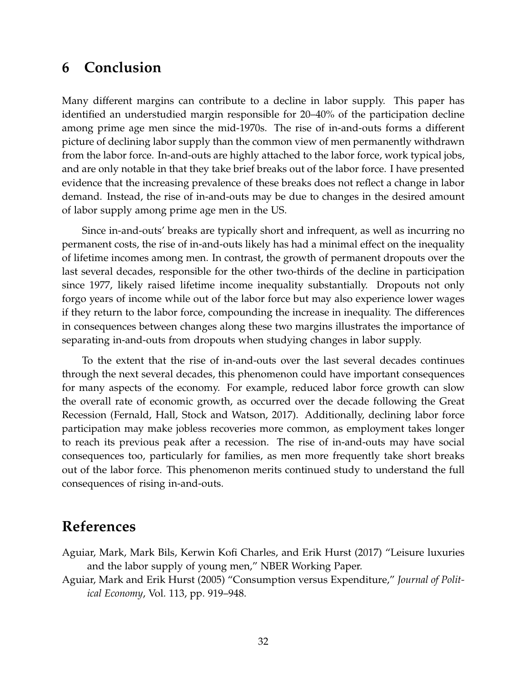# **6 Conclusion**

Many different margins can contribute to a decline in labor supply. This paper has identified an understudied margin responsible for 20–40% of the participation decline among prime age men since the mid-1970s. The rise of in-and-outs forms a different picture of declining labor supply than the common view of men permanently withdrawn from the labor force. In-and-outs are highly attached to the labor force, work typical jobs, and are only notable in that they take brief breaks out of the labor force. I have presented evidence that the increasing prevalence of these breaks does not reflect a change in labor demand. Instead, the rise of in-and-outs may be due to changes in the desired amount of labor supply among prime age men in the US.

Since in-and-outs' breaks are typically short and infrequent, as well as incurring no permanent costs, the rise of in-and-outs likely has had a minimal effect on the inequality of lifetime incomes among men. In contrast, the growth of permanent dropouts over the last several decades, responsible for the other two-thirds of the decline in participation since 1977, likely raised lifetime income inequality substantially. Dropouts not only forgo years of income while out of the labor force but may also experience lower wages if they return to the labor force, compounding the increase in inequality. The differences in consequences between changes along these two margins illustrates the importance of separating in-and-outs from dropouts when studying changes in labor supply.

To the extent that the rise of in-and-outs over the last several decades continues through the next several decades, this phenomenon could have important consequences for many aspects of the economy. For example, reduced labor force growth can slow the overall rate of economic growth, as occurred over the decade following the Great Recession [\(Fernald, Hall, Stock and Watson, 2017\)](#page-33-14). Additionally, declining labor force participation may make jobless recoveries more common, as employment takes longer to reach its previous peak after a recession. The rise of in-and-outs may have social consequences too, particularly for families, as men more frequently take short breaks out of the labor force. This phenomenon merits continued study to understand the full consequences of rising in-and-outs.

### **References**

- <span id="page-31-0"></span>Aguiar, Mark, Mark Bils, Kerwin Kofi Charles, and Erik Hurst (2017) "Leisure luxuries and the labor supply of young men," NBER Working Paper.
- <span id="page-31-1"></span>Aguiar, Mark and Erik Hurst (2005) "Consumption versus Expenditure," *Journal of Political Economy*, Vol. 113, pp. 919–948.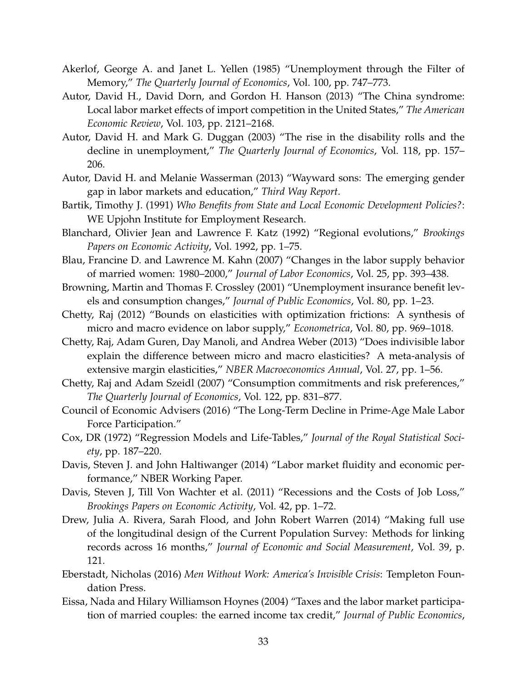- <span id="page-32-6"></span>Akerlof, George A. and Janet L. Yellen (1985) "Unemployment through the Filter of Memory," *The Quarterly Journal of Economics*, Vol. 100, pp. 747–773.
- <span id="page-32-1"></span>Autor, David H., David Dorn, and Gordon H. Hanson (2013) "The China syndrome: Local labor market effects of import competition in the United States," *The American Economic Review*, Vol. 103, pp. 2121–2168.
- <span id="page-32-3"></span>Autor, David H. and Mark G. Duggan (2003) "The rise in the disability rolls and the decline in unemployment," *The Quarterly Journal of Economics*, Vol. 118, pp. 157– 206.
- <span id="page-32-2"></span>Autor, David H. and Melanie Wasserman (2013) "Wayward sons: The emerging gender gap in labor markets and education," *Third Way Report*.
- <span id="page-32-15"></span>Bartik, Timothy J. (1991) *Who Benefits from State and Local Economic Development Policies?*: WE Upjohn Institute for Employment Research.
- <span id="page-32-14"></span>Blanchard, Olivier Jean and Lawrence F. Katz (1992) "Regional evolutions," *Brookings Papers on Economic Activity*, Vol. 1992, pp. 1–75.
- <span id="page-32-13"></span>Blau, Francine D. and Lawrence M. Kahn (2007) "Changes in the labor supply behavior of married women: 1980–2000," *Journal of Labor Economics*, Vol. 25, pp. 393–438.
- <span id="page-32-7"></span>Browning, Martin and Thomas F. Crossley (2001) "Unemployment insurance benefit levels and consumption changes," *Journal of Public Economics*, Vol. 80, pp. 1–23.
- <span id="page-32-12"></span>Chetty, Raj (2012) "Bounds on elasticities with optimization frictions: A synthesis of micro and macro evidence on labor supply," *Econometrica*, Vol. 80, pp. 969–1018.
- <span id="page-32-11"></span>Chetty, Raj, Adam Guren, Day Manoli, and Andrea Weber (2013) "Does indivisible labor explain the difference between micro and macro elasticities? A meta-analysis of extensive margin elasticities," *NBER Macroeconomics Annual*, Vol. 27, pp. 1–56.
- <span id="page-32-8"></span>Chetty, Raj and Adam Szeidl (2007) "Consumption commitments and risk preferences," *The Quarterly Journal of Economics*, Vol. 122, pp. 831–877.
- Council of Economic Advisers (2016) "The Long-Term Decline in Prime-Age Male Labor Force Participation."
- <span id="page-32-5"></span>Cox, DR (1972) "Regression Models and Life-Tables," *Journal of the Royal Statistical Society*, pp. 187–220.
- <span id="page-32-4"></span>Davis, Steven J. and John Haltiwanger (2014) "Labor market fluidity and economic performance," NBER Working Paper.
- <span id="page-32-9"></span>Davis, Steven J, Till Von Wachter et al. (2011) "Recessions and the Costs of Job Loss," *Brookings Papers on Economic Activity*, Vol. 42, pp. 1–72.
- <span id="page-32-16"></span>Drew, Julia A. Rivera, Sarah Flood, and John Robert Warren (2014) "Making full use of the longitudinal design of the Current Population Survey: Methods for linking records across 16 months," *Journal of Economic and Social Measurement*, Vol. 39, p. 121.
- <span id="page-32-0"></span>Eberstadt, Nicholas (2016) *Men Without Work: America's Invisible Crisis*: Templeton Foundation Press.
- <span id="page-32-10"></span>Eissa, Nada and Hilary Williamson Hoynes (2004) "Taxes and the labor market participation of married couples: the earned income tax credit," *Journal of Public Economics*,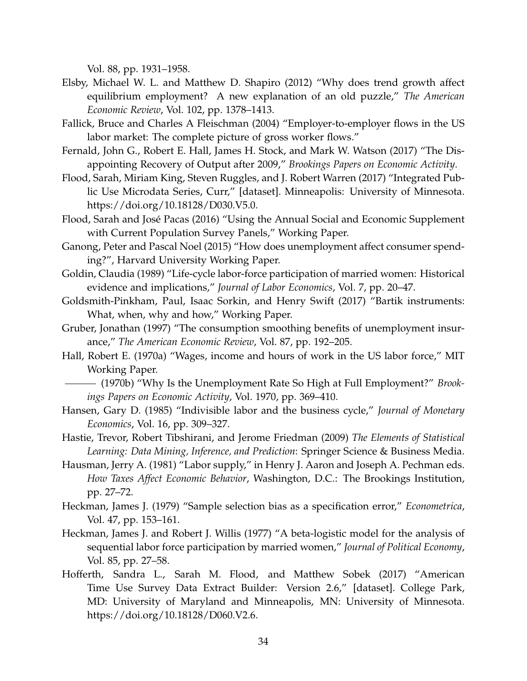Vol. 88, pp. 1931–1958.

- <span id="page-33-0"></span>Elsby, Michael W. L. and Matthew D. Shapiro (2012) "Why does trend growth affect equilibrium employment? A new explanation of an old puzzle," *The American Economic Review*, Vol. 102, pp. 1378–1413.
- <span id="page-33-4"></span>Fallick, Bruce and Charles A Fleischman (2004) "Employer-to-employer flows in the US labor market: The complete picture of gross worker flows."
- <span id="page-33-14"></span>Fernald, John G., Robert E. Hall, James H. Stock, and Mark W. Watson (2017) "The Disappointing Recovery of Output after 2009," *Brookings Papers on Economic Activity*.
- <span id="page-33-15"></span>Flood, Sarah, Miriam King, Steven Ruggles, and J. Robert Warren (2017) "Integrated Public Use Microdata Series, Curr," [dataset]. Minneapolis: University of Minnesota. https://doi.org/10.18128/D030.V5.0.
- <span id="page-33-6"></span>Flood, Sarah and José Pacas (2016) "Using the Annual Social and Economic Supplement with Current Population Survey Panels," Working Paper.
- <span id="page-33-7"></span>Ganong, Peter and Pascal Noel (2015) "How does unemployment affect consumer spending?", Harvard University Working Paper.
- <span id="page-33-3"></span>Goldin, Claudia (1989) "Life-cycle labor-force participation of married women: Historical evidence and implications," *Journal of Labor Economics*, Vol. 7, pp. 20–47.
- <span id="page-33-13"></span>Goldsmith-Pinkham, Paul, Isaac Sorkin, and Henry Swift (2017) "Bartik instruments: What, when, why and how," Working Paper.
- <span id="page-33-8"></span>Gruber, Jonathan (1997) "The consumption smoothing benefits of unemployment insurance," *The American Economic Review*, Vol. 87, pp. 192–205.
- <span id="page-33-10"></span>Hall, Robert E. (1970a) "Wages, income and hours of work in the US labor force," MIT Working Paper.
- <span id="page-33-5"></span>(1970b) "Why Is the Unemployment Rate So High at Full Employment?" *Brookings Papers on Economic Activity*, Vol. 1970, pp. 369–410.
- <span id="page-33-1"></span>Hansen, Gary D. (1985) "Indivisible labor and the business cycle," *Journal of Monetary Economics*, Vol. 16, pp. 309–327.
- <span id="page-33-16"></span>Hastie, Trevor, Robert Tibshirani, and Jerome Friedman (2009) *The Elements of Statistical Learning: Data Mining, Inference, and Prediction*: Springer Science & Business Media.
- <span id="page-33-11"></span>Hausman, Jerry A. (1981) "Labor supply," in Henry J. Aaron and Joseph A. Pechman eds. *How Taxes Affect Economic Behavior*, Washington, D.C.: The Brookings Institution, pp. 27–72.
- <span id="page-33-12"></span>Heckman, James J. (1979) "Sample selection bias as a specification error," *Econometrica*, Vol. 47, pp. 153–161.
- <span id="page-33-2"></span>Heckman, James J. and Robert J. Willis (1977) "A beta-logistic model for the analysis of sequential labor force participation by married women," *Journal of Political Economy*, Vol. 85, pp. 27–58.
- <span id="page-33-9"></span>Hofferth, Sandra L., Sarah M. Flood, and Matthew Sobek (2017) "American Time Use Survey Data Extract Builder: Version 2.6," [dataset]. College Park, MD: University of Maryland and Minneapolis, MN: University of Minnesota. https://doi.org/10.18128/D060.V2.6.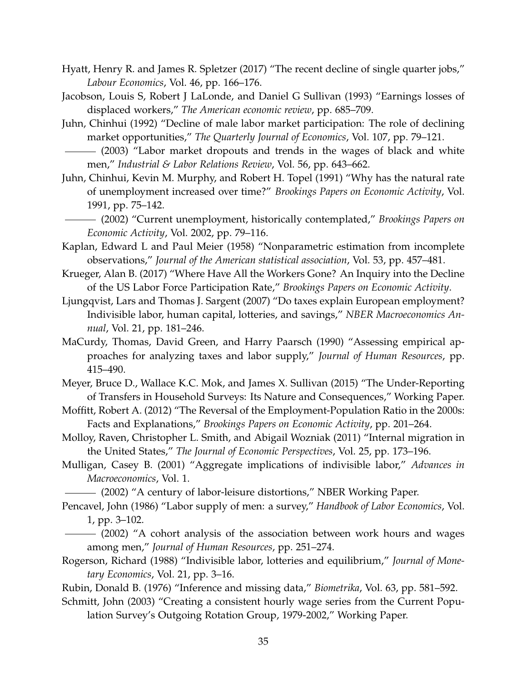- <span id="page-34-10"></span>Hyatt, Henry R. and James R. Spletzer (2017) "The recent decline of single quarter jobs," *Labour Economics*, Vol. 46, pp. 166–176.
- <span id="page-34-13"></span>Jacobson, Louis S, Robert J LaLonde, and Daniel G Sullivan (1993) "Earnings losses of displaced workers," *The American economic review*, pp. 685–709.
- <span id="page-34-0"></span>Juhn, Chinhui (1992) "Decline of male labor market participation: The role of declining market opportunities," *The Quarterly Journal of Economics*, Vol. 107, pp. 79–121.
- <span id="page-34-1"></span>(2003) "Labor market dropouts and trends in the wages of black and white men," *Industrial & Labor Relations Review*, Vol. 56, pp. 643–662.
- <span id="page-34-3"></span>Juhn, Chinhui, Kevin M. Murphy, and Robert H. Topel (1991) "Why has the natural rate of unemployment increased over time?" *Brookings Papers on Economic Activity*, Vol. 1991, pp. 75–142.
- <span id="page-34-4"></span>(2002) "Current unemployment, historically contemplated," *Brookings Papers on Economic Activity*, Vol. 2002, pp. 79–116.
- <span id="page-34-12"></span>Kaplan, Edward L and Paul Meier (1958) "Nonparametric estimation from incomplete observations," *Journal of the American statistical association*, Vol. 53, pp. 457–481.
- <span id="page-34-5"></span>Krueger, Alan B. (2017) "Where Have All the Workers Gone? An Inquiry into the Decline of the US Labor Force Participation Rate," *Brookings Papers on Economic Activity*.
- <span id="page-34-7"></span>Ljungqvist, Lars and Thomas J. Sargent (2007) "Do taxes explain European employment? Indivisible labor, human capital, lotteries, and savings," *NBER Macroeconomics Annual*, Vol. 21, pp. 181–246.
- <span id="page-34-16"></span>MaCurdy, Thomas, David Green, and Harry Paarsch (1990) "Assessing empirical approaches for analyzing taxes and labor supply," *Journal of Human Resources*, pp. 415–490.
- <span id="page-34-19"></span>Meyer, Bruce D., Wallace K.C. Mok, and James X. Sullivan (2015) "The Under-Reporting of Transfers in Household Surveys: Its Nature and Consequences," Working Paper.
- <span id="page-34-2"></span>Moffitt, Robert A. (2012) "The Reversal of the Employment-Population Ratio in the 2000s: Facts and Explanations," *Brookings Papers on Economic Activity*, pp. 201–264.
- <span id="page-34-9"></span>Molloy, Raven, Christopher L. Smith, and Abigail Wozniak (2011) "Internal migration in the United States," *The Journal of Economic Perspectives*, Vol. 25, pp. 173–196.
- <span id="page-34-6"></span>Mulligan, Casey B. (2001) "Aggregate implications of indivisible labor," *Advances in Macroeconomics*, Vol. 1.
- <span id="page-34-18"></span>(2002) "A century of labor-leisure distortions," NBER Working Paper.
- <span id="page-34-17"></span><span id="page-34-15"></span>Pencavel, John (1986) "Labor supply of men: a survey," *Handbook of Labor Economics*, Vol. 1, pp. 3–102.
	- (2002) "A cohort analysis of the association between work hours and wages among men," *Journal of Human Resources*, pp. 251–274.
- <span id="page-34-8"></span>Rogerson, Richard (1988) "Indivisible labor, lotteries and equilibrium," *Journal of Monetary Economics*, Vol. 21, pp. 3–16.
- <span id="page-34-11"></span>Rubin, Donald B. (1976) "Inference and missing data," *Biometrika*, Vol. 63, pp. 581–592.
- <span id="page-34-14"></span>Schmitt, John (2003) "Creating a consistent hourly wage series from the Current Population Survey's Outgoing Rotation Group, 1979-2002," Working Paper.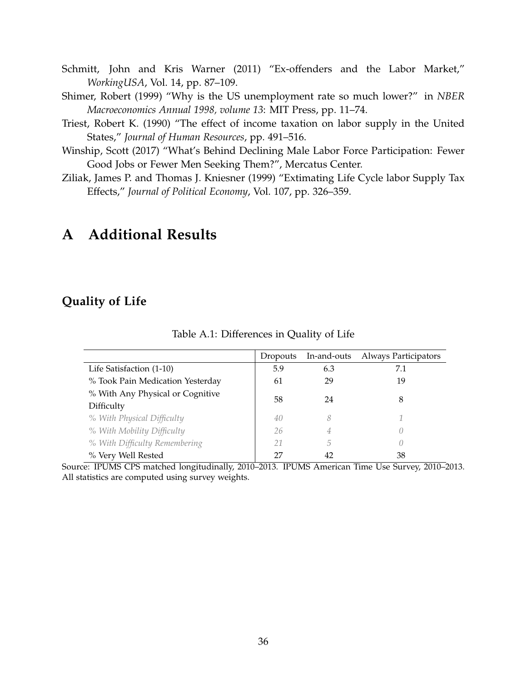- <span id="page-35-1"></span>Schmitt, John and Kris Warner (2011) "Ex-offenders and the Labor Market," *WorkingUSA*, Vol. 14, pp. 87–109.
- <span id="page-35-2"></span>Shimer, Robert (1999) "Why is the US unemployment rate so much lower?" in *NBER Macroeconomics Annual 1998, volume 13*: MIT Press, pp. 11–74.
- <span id="page-35-4"></span>Triest, Robert K. (1990) "The effect of income taxation on labor supply in the United States," *Journal of Human Resources*, pp. 491–516.
- <span id="page-35-0"></span>Winship, Scott (2017) "What's Behind Declining Male Labor Force Participation: Fewer Good Jobs or Fewer Men Seeking Them?", Mercatus Center.
- <span id="page-35-5"></span>Ziliak, James P. and Thomas J. Kniesner (1999) "Extimating Life Cycle labor Supply Tax Effects," *Journal of Political Economy*, Vol. 107, pp. 326–359.

# **A Additional Results**

### <span id="page-35-3"></span>**Quality of Life**

|                                  | Dropouts | In-and-outs | <b>Always Participators</b> |
|----------------------------------|----------|-------------|-----------------------------|
| Life Satisfaction (1-10)         | 5.9      | 6.3         | 7.1                         |
| % Took Pain Medication Yesterday | 61       | 29          | 19                          |
| % With Any Physical or Cognitive |          | 24          |                             |
| Difficulty                       | 58       |             | 8                           |
| % With Physical Difficulty       | 40       | 8           |                             |
| % With Mobility Difficulty       | 26       | 4           |                             |
| % With Difficulty Remembering    | 21       | 5           |                             |
| % Very Well Rested               | 27       | 42          | 38                          |

Table A.1: Differences in Quality of Life

Source: IPUMS CPS matched longitudinally, 2010–2013. IPUMS American Time Use Survey, 2010–2013. All statistics are computed using survey weights.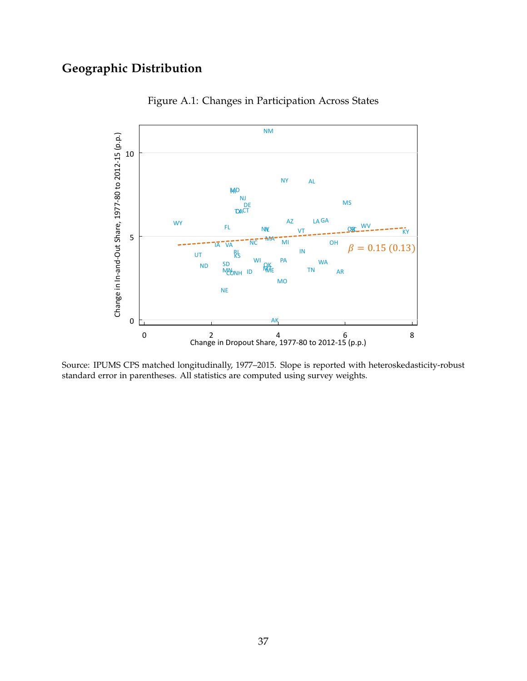# <span id="page-36-0"></span>**Geographic Distribution**



Figure A.1: Changes in Participation Across States

Source: IPUMS CPS matched longitudinally, 1977–2015. Slope is reported with heteroskedasticity-robust standard error in parentheses. All statistics are computed using survey weights.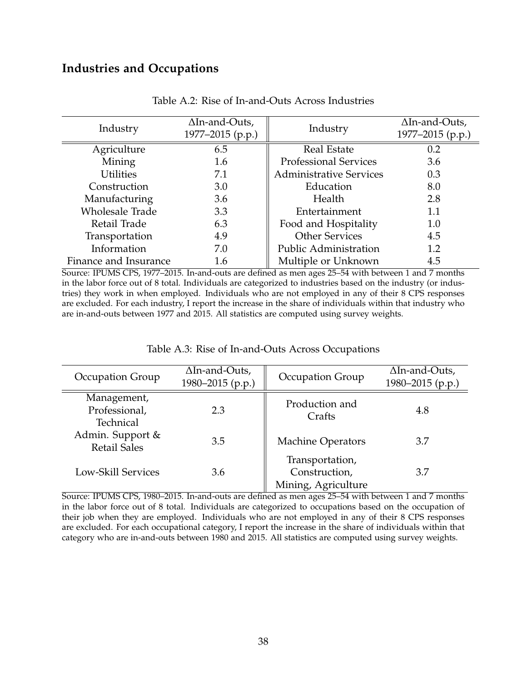### **Industries and Occupations**

<span id="page-37-0"></span>

| Industry              | $\Delta$ In-and-Outs,<br>1977-2015 (p.p.) | Industry                       | $\Delta$ In-and-Outs,<br>1977-2015 (p.p.) |
|-----------------------|-------------------------------------------|--------------------------------|-------------------------------------------|
| Agriculture           | 6.5                                       | <b>Real Estate</b>             | 0.2                                       |
| Mining                | 1.6                                       | <b>Professional Services</b>   | 3.6                                       |
| <b>Utilities</b>      | 7.1                                       | <b>Administrative Services</b> | 0.3                                       |
| Construction          | 3.0                                       | Education                      | 8.0                                       |
| Manufacturing         | 3.6                                       | Health                         | 2.8                                       |
| Wholesale Trade       | 3.3                                       | Entertainment                  | 1.1                                       |
| Retail Trade          | 6.3                                       | Food and Hospitality           | 1.0                                       |
| Transportation        | 4.9                                       | <b>Other Services</b>          | 4.5                                       |
| Information           | 7.0                                       | Public Administration          | 1.2                                       |
| Finance and Insurance | 1.6                                       | Multiple or Unknown            | 4.5                                       |

Table A.2: Rise of In-and-Outs Across Industries

Source: IPUMS CPS, 1977–2015. In-and-outs are defined as men ages 25–54 with between 1 and 7 months in the labor force out of 8 total. Individuals are categorized to industries based on the industry (or industries) they work in when employed. Individuals who are not employed in any of their 8 CPS responses are excluded. For each industry, I report the increase in the share of individuals within that industry who are in-and-outs between 1977 and 2015. All statistics are computed using survey weights.

#### Table A.3: Rise of In-and-Outs Across Occupations

<span id="page-37-1"></span>

| Occupation Group                          | $\Delta$ In-and-Outs,<br>1980-2015 (p.p.) | Occupation Group                                        | $\Delta$ In-and-Outs,<br>1980–2015 (p.p.) |
|-------------------------------------------|-------------------------------------------|---------------------------------------------------------|-------------------------------------------|
| Management,<br>Professional,<br>Technical | 2.3                                       | Production and<br>Crafts                                | 4.8                                       |
| Admin. Support &<br><b>Retail Sales</b>   | 3.5                                       | <b>Machine Operators</b>                                | 3.7                                       |
| Low-Skill Services                        | 3.6                                       | Transportation,<br>Construction,<br>Mining, Agriculture | 3.7                                       |

Source: IPUMS CPS, 1980–2015. In-and-outs are defined as men ages 25–54 with between 1 and 7 months in the labor force out of 8 total. Individuals are categorized to occupations based on the occupation of their job when they are employed. Individuals who are not employed in any of their 8 CPS responses are excluded. For each occupational category, I report the increase in the share of individuals within that category who are in-and-outs between 1980 and 2015. All statistics are computed using survey weights.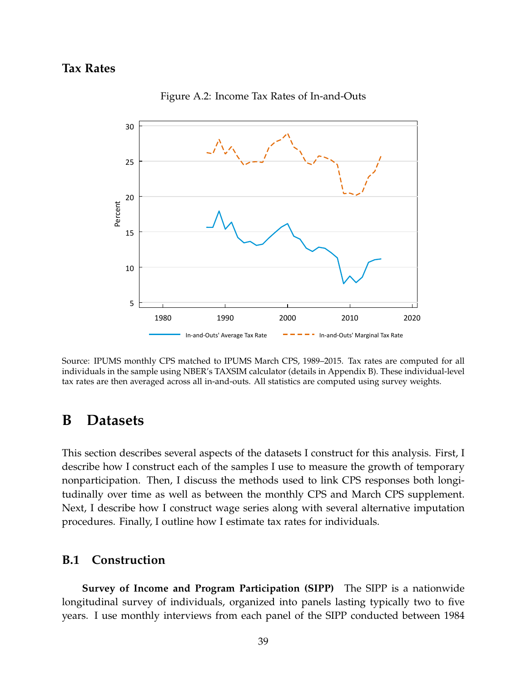### <span id="page-38-2"></span>**Tax Rates**



Figure A.2: Income Tax Rates of In-and-Outs

Source: IPUMS monthly CPS matched to IPUMS March CPS, 1989–2015. Tax rates are computed for all individuals in the sample using NBER's TAXSIM calculator (details in Appendix [B\)](#page-38-1). These individual-level tax rates are then averaged across all in-and-outs. All statistics are computed using survey weights.

### <span id="page-38-1"></span>**B Datasets**

This section describes several aspects of the datasets I construct for this analysis. First, I describe how I construct each of the samples I use to measure the growth of temporary nonparticipation. Then, I discuss the methods used to link CPS responses both longitudinally over time as well as between the monthly CPS and March CPS supplement. Next, I describe how I construct wage series along with several alternative imputation procedures. Finally, I outline how I estimate tax rates for individuals.

#### <span id="page-38-0"></span>**B.1 Construction**

**Survey of Income and Program Participation (SIPP)** The SIPP is a nationwide longitudinal survey of individuals, organized into panels lasting typically two to five years. I use monthly interviews from each panel of the SIPP conducted between 1984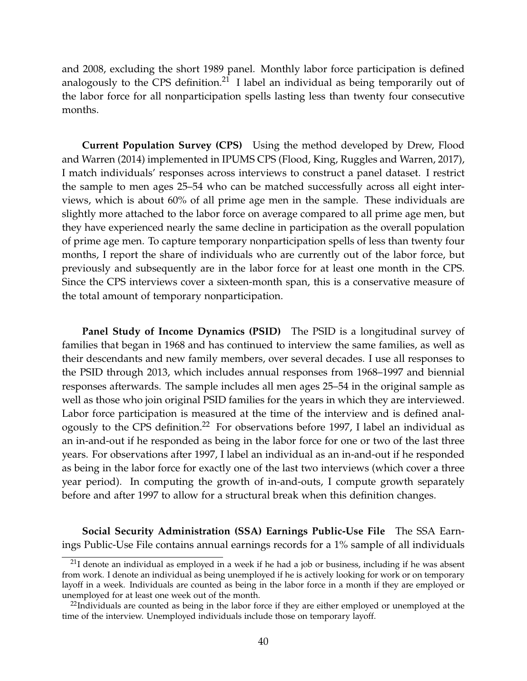and 2008, excluding the short 1989 panel. Monthly labor force participation is defined analogously to the CPS definition.<sup>[21](#page-39-0)</sup> I label an individual as being temporarily out of the labor force for all nonparticipation spells lasting less than twenty four consecutive months.

**Current Population Survey (CPS)** Using the method developed by [Drew, Flood](#page-32-16) [and Warren](#page-32-16) [\(2014\)](#page-32-16) implemented in IPUMS CPS [\(Flood, King, Ruggles and Warren, 2017\)](#page-33-15), I match individuals' responses across interviews to construct a panel dataset. I restrict the sample to men ages 25–54 who can be matched successfully across all eight interviews, which is about 60% of all prime age men in the sample. These individuals are slightly more attached to the labor force on average compared to all prime age men, but they have experienced nearly the same decline in participation as the overall population of prime age men. To capture temporary nonparticipation spells of less than twenty four months, I report the share of individuals who are currently out of the labor force, but previously and subsequently are in the labor force for at least one month in the CPS. Since the CPS interviews cover a sixteen-month span, this is a conservative measure of the total amount of temporary nonparticipation.

**Panel Study of Income Dynamics (PSID)** The PSID is a longitudinal survey of families that began in 1968 and has continued to interview the same families, as well as their descendants and new family members, over several decades. I use all responses to the PSID through 2013, which includes annual responses from 1968–1997 and biennial responses afterwards. The sample includes all men ages 25–54 in the original sample as well as those who join original PSID families for the years in which they are interviewed. Labor force participation is measured at the time of the interview and is defined analogously to the CPS definition.[22](#page-39-1) For observations before 1997, I label an individual as an in-and-out if he responded as being in the labor force for one or two of the last three years. For observations after 1997, I label an individual as an in-and-out if he responded as being in the labor force for exactly one of the last two interviews (which cover a three year period). In computing the growth of in-and-outs, I compute growth separately before and after 1997 to allow for a structural break when this definition changes.

**Social Security Administration (SSA) Earnings Public-Use File** The SSA Earnings Public-Use File contains annual earnings records for a 1% sample of all individuals

<span id="page-39-0"></span> $^{21}$ I denote an individual as employed in a week if he had a job or business, including if he was absent from work. I denote an individual as being unemployed if he is actively looking for work or on temporary layoff in a week. Individuals are counted as being in the labor force in a month if they are employed or unemployed for at least one week out of the month.

<span id="page-39-1"></span> $^{22}$ Individuals are counted as being in the labor force if they are either employed or unemployed at the time of the interview. Unemployed individuals include those on temporary layoff.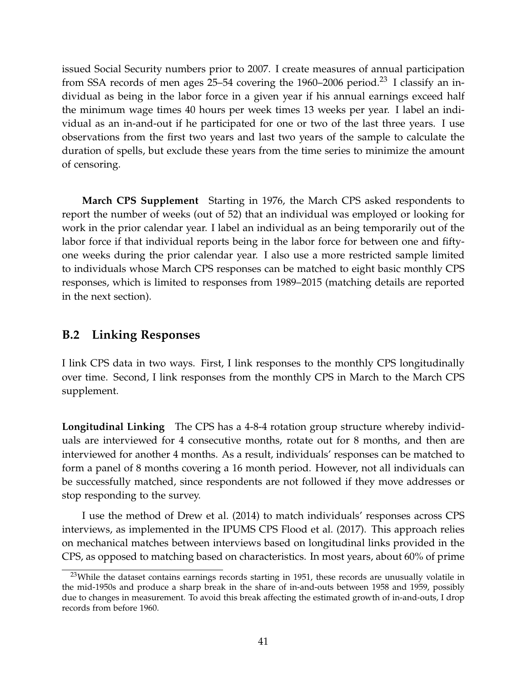issued Social Security numbers prior to 2007. I create measures of annual participation from SSA records of men ages  $25-54$  covering the 1960–2006 period.<sup>[23](#page-40-0)</sup> I classify an individual as being in the labor force in a given year if his annual earnings exceed half the minimum wage times 40 hours per week times 13 weeks per year. I label an individual as an in-and-out if he participated for one or two of the last three years. I use observations from the first two years and last two years of the sample to calculate the duration of spells, but exclude these years from the time series to minimize the amount of censoring.

**March CPS Supplement** Starting in 1976, the March CPS asked respondents to report the number of weeks (out of 52) that an individual was employed or looking for work in the prior calendar year. I label an individual as an being temporarily out of the labor force if that individual reports being in the labor force for between one and fiftyone weeks during the prior calendar year. I also use a more restricted sample limited to individuals whose March CPS responses can be matched to eight basic monthly CPS responses, which is limited to responses from 1989–2015 (matching details are reported in the next section).

#### **B.2 Linking Responses**

I link CPS data in two ways. First, I link responses to the monthly CPS longitudinally over time. Second, I link responses from the monthly CPS in March to the March CPS supplement.

**Longitudinal Linking** The CPS has a 4-8-4 rotation group structure whereby individuals are interviewed for 4 consecutive months, rotate out for 8 months, and then are interviewed for another 4 months. As a result, individuals' responses can be matched to form a panel of 8 months covering a 16 month period. However, not all individuals can be successfully matched, since respondents are not followed if they move addresses or stop responding to the survey.

I use the method of [Drew et al.](#page-32-16) [\(2014\)](#page-32-16) to match individuals' responses across CPS interviews, as implemented in the IPUMS CPS [Flood et al.](#page-33-15) [\(2017\)](#page-33-15). This approach relies on mechanical matches between interviews based on longitudinal links provided in the CPS, as opposed to matching based on characteristics. In most years, about 60% of prime

<span id="page-40-0"></span><sup>&</sup>lt;sup>23</sup>While the dataset contains earnings records starting in 1951, these records are unusually volatile in the mid-1950s and produce a sharp break in the share of in-and-outs between 1958 and 1959, possibly due to changes in measurement. To avoid this break affecting the estimated growth of in-and-outs, I drop records from before 1960.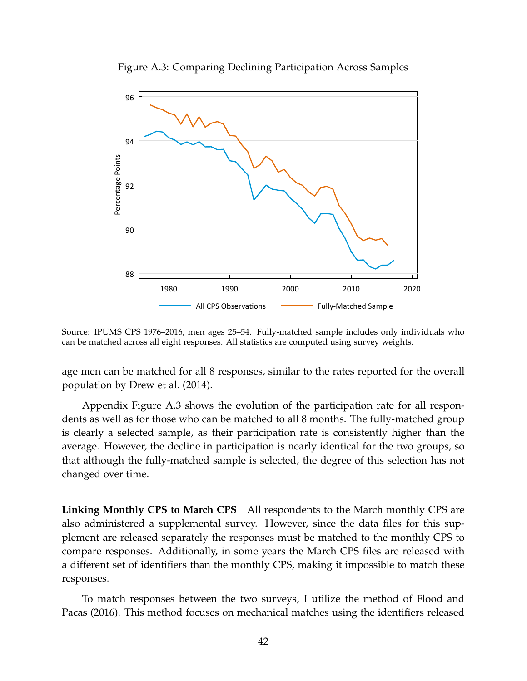<span id="page-41-0"></span>

Figure A.3: Comparing Declining Participation Across Samples

Source: IPUMS CPS 1976–2016, men ages 25–54. Fully-matched sample includes only individuals who can be matched across all eight responses. All statistics are computed using survey weights.

age men can be matched for all 8 responses, similar to the rates reported for the overall population by [Drew et al.](#page-32-16) [\(2014\)](#page-32-16).

Appendix Figure [A.3](#page-41-0) shows the evolution of the participation rate for all respondents as well as for those who can be matched to all 8 months. The fully-matched group is clearly a selected sample, as their participation rate is consistently higher than the average. However, the decline in participation is nearly identical for the two groups, so that although the fully-matched sample is selected, the degree of this selection has not changed over time.

**Linking Monthly CPS to March CPS** All respondents to the March monthly CPS are also administered a supplemental survey. However, since the data files for this supplement are released separately the responses must be matched to the monthly CPS to compare responses. Additionally, in some years the March CPS files are released with a different set of identifiers than the monthly CPS, making it impossible to match these responses.

To match responses between the two surveys, I utilize the method of [Flood and](#page-33-6) [Pacas](#page-33-6) [\(2016\)](#page-33-6). This method focuses on mechanical matches using the identifiers released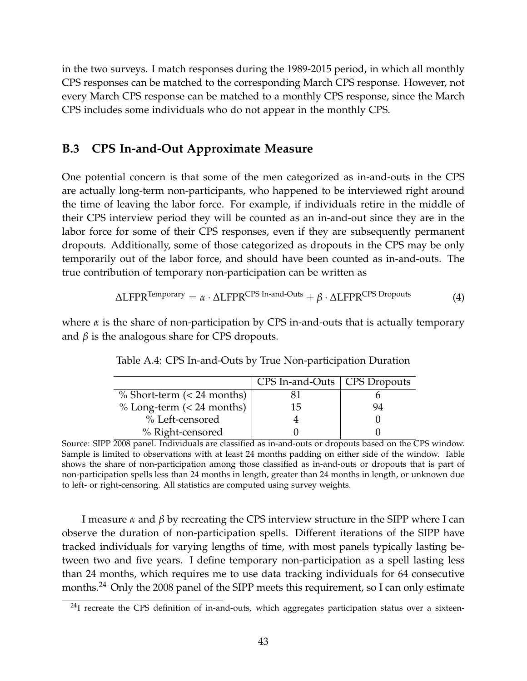in the two surveys. I match responses during the 1989-2015 period, in which all monthly CPS responses can be matched to the corresponding March CPS response. However, not every March CPS response can be matched to a monthly CPS response, since the March CPS includes some individuals who do not appear in the monthly CPS.

#### <span id="page-42-0"></span>**B.3 CPS In-and-Out Approximate Measure**

One potential concern is that some of the men categorized as in-and-outs in the CPS are actually long-term non-participants, who happened to be interviewed right around the time of leaving the labor force. For example, if individuals retire in the middle of their CPS interview period they will be counted as an in-and-out since they are in the labor force for some of their CPS responses, even if they are subsequently permanent dropouts. Additionally, some of those categorized as dropouts in the CPS may be only temporarily out of the labor force, and should have been counted as in-and-outs. The true contribution of temporary non-participation can be written as

$$
\Delta LFPR^{Temporary} = \alpha \cdot \Delta LFPR^{CPS\ In\ - and\ -Outs} + \beta \cdot \Delta LFPR^{CPS\ Dropouts} \tag{4}
$$

<span id="page-42-2"></span>where *α* is the share of non-participation by CPS in-and-outs that is actually temporary and  $\beta$  is the analogous share for CPS dropouts.

|                              | CPS In-and-Outs   CPS Dropouts |    |
|------------------------------|--------------------------------|----|
| $%$ Short-term (< 24 months) |                                |    |
| $% Long-term (< 24 months)$  | 15                             | 94 |
| % Left-censored              |                                |    |
| % Right-censored             |                                |    |

Table A.4: CPS In-and-Outs by True Non-participation Duration

Source: SIPP 2008 panel. Individuals are classified as in-and-outs or dropouts based on the CPS window. Sample is limited to observations with at least 24 months padding on either side of the window. Table shows the share of non-participation among those classified as in-and-outs or dropouts that is part of non-participation spells less than 24 months in length, greater than 24 months in length, or unknown due to left- or right-censoring. All statistics are computed using survey weights.

I measure *α* and *β* by recreating the CPS interview structure in the SIPP where I can observe the duration of non-participation spells. Different iterations of the SIPP have tracked individuals for varying lengths of time, with most panels typically lasting between two and five years. I define temporary non-participation as a spell lasting less than 24 months, which requires me to use data tracking individuals for 64 consecutive months.[24](#page-42-1) Only the 2008 panel of the SIPP meets this requirement, so I can only estimate

<span id="page-42-1"></span> $^{24}$ I recreate the CPS definition of in-and-outs, which aggregates participation status over a sixteen-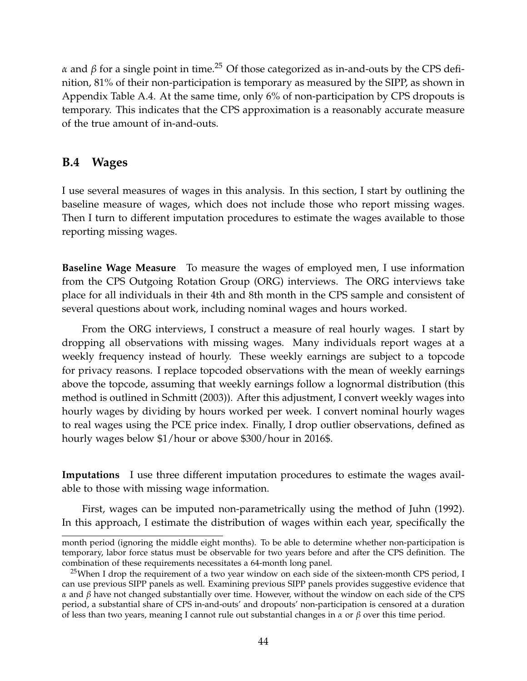*α* and *β* for a single point in time.<sup>[25](#page-43-0)</sup> Of those categorized as in-and-outs by the CPS definition, 81% of their non-participation is temporary as measured by the SIPP, as shown in Appendix Table [A.4.](#page-42-2) At the same time, only 6% of non-participation by CPS dropouts is temporary. This indicates that the CPS approximation is a reasonably accurate measure of the true amount of in-and-outs.

#### **B.4 Wages**

I use several measures of wages in this analysis. In this section, I start by outlining the baseline measure of wages, which does not include those who report missing wages. Then I turn to different imputation procedures to estimate the wages available to those reporting missing wages.

**Baseline Wage Measure** To measure the wages of employed men, I use information from the CPS Outgoing Rotation Group (ORG) interviews. The ORG interviews take place for all individuals in their 4th and 8th month in the CPS sample and consistent of several questions about work, including nominal wages and hours worked.

From the ORG interviews, I construct a measure of real hourly wages. I start by dropping all observations with missing wages. Many individuals report wages at a weekly frequency instead of hourly. These weekly earnings are subject to a topcode for privacy reasons. I replace topcoded observations with the mean of weekly earnings above the topcode, assuming that weekly earnings follow a lognormal distribution (this method is outlined in [Schmitt](#page-34-14) [\(2003\)](#page-34-14)). After this adjustment, I convert weekly wages into hourly wages by dividing by hours worked per week. I convert nominal hourly wages to real wages using the PCE price index. Finally, I drop outlier observations, defined as hourly wages below \$1/hour or above \$300/hour in 2016\$.

**Imputations** I use three different imputation procedures to estimate the wages available to those with missing wage information.

First, wages can be imputed non-parametrically using the method of [Juhn](#page-34-0) [\(1992\)](#page-34-0). In this approach, I estimate the distribution of wages within each year, specifically the

month period (ignoring the middle eight months). To be able to determine whether non-participation is temporary, labor force status must be observable for two years before and after the CPS definition. The combination of these requirements necessitates a 64-month long panel.

<span id="page-43-0"></span><sup>&</sup>lt;sup>25</sup>When I drop the requirement of a two year window on each side of the sixteen-month CPS period, I can use previous SIPP panels as well. Examining previous SIPP panels provides suggestive evidence that *α* and *β* have not changed substantially over time. However, without the window on each side of the CPS period, a substantial share of CPS in-and-outs' and dropouts' non-participation is censored at a duration of less than two years, meaning I cannot rule out substantial changes in *α* or *β* over this time period.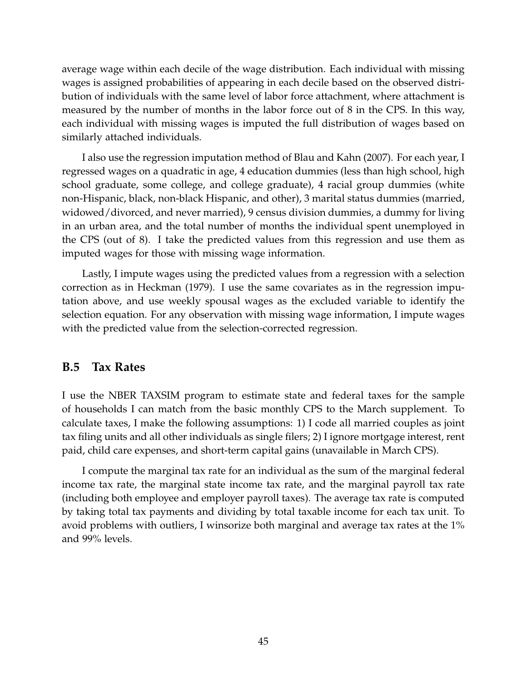average wage within each decile of the wage distribution. Each individual with missing wages is assigned probabilities of appearing in each decile based on the observed distribution of individuals with the same level of labor force attachment, where attachment is measured by the number of months in the labor force out of 8 in the CPS. In this way, each individual with missing wages is imputed the full distribution of wages based on similarly attached individuals.

I also use the regression imputation method of [Blau and Kahn](#page-32-13) [\(2007\)](#page-32-13). For each year, I regressed wages on a quadratic in age, 4 education dummies (less than high school, high school graduate, some college, and college graduate), 4 racial group dummies (white non-Hispanic, black, non-black Hispanic, and other), 3 marital status dummies (married, widowed/divorced, and never married), 9 census division dummies, a dummy for living in an urban area, and the total number of months the individual spent unemployed in the CPS (out of 8). I take the predicted values from this regression and use them as imputed wages for those with missing wage information.

Lastly, I impute wages using the predicted values from a regression with a selection correction as in [Heckman](#page-33-12) [\(1979\)](#page-33-12). I use the same covariates as in the regression imputation above, and use weekly spousal wages as the excluded variable to identify the selection equation. For any observation with missing wage information, I impute wages with the predicted value from the selection-corrected regression.

#### **B.5 Tax Rates**

I use the NBER TAXSIM program to estimate state and federal taxes for the sample of households I can match from the basic monthly CPS to the March supplement. To calculate taxes, I make the following assumptions: 1) I code all married couples as joint tax filing units and all other individuals as single filers; 2) I ignore mortgage interest, rent paid, child care expenses, and short-term capital gains (unavailable in March CPS).

I compute the marginal tax rate for an individual as the sum of the marginal federal income tax rate, the marginal state income tax rate, and the marginal payroll tax rate (including both employee and employer payroll taxes). The average tax rate is computed by taking total tax payments and dividing by total taxable income for each tax unit. To avoid problems with outliers, I winsorize both marginal and average tax rates at the 1% and 99% levels.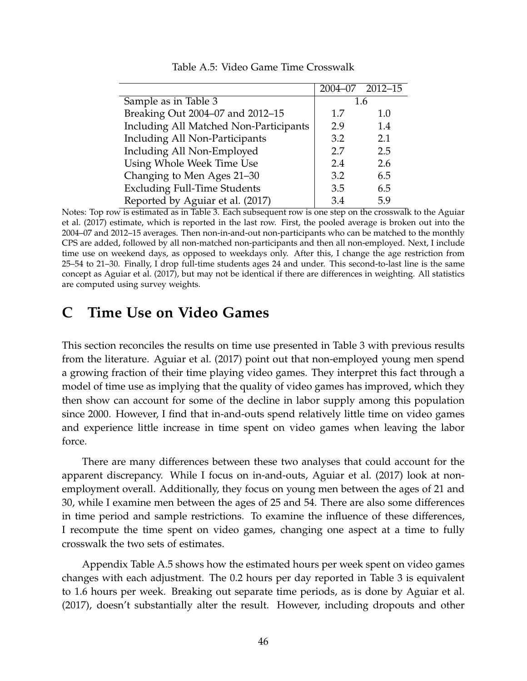<span id="page-45-1"></span>

|                                        |     | 2004-07 2012-15 |
|----------------------------------------|-----|-----------------|
| Sample as in Table 3                   |     | 1.6             |
| Breaking Out 2004-07 and 2012-15       | 1.7 | 1.0             |
| Including All Matched Non-Participants | 2.9 | 1.4             |
| Including All Non-Participants         | 3.2 | 2.1             |
| Including All Non-Employed             | 2.7 | 2.5             |
| Using Whole Week Time Use              | 2.4 | 2.6             |
| Changing to Men Ages 21-30             | 3.2 | 6.5             |
| <b>Excluding Full-Time Students</b>    | 3.5 | 6.5             |
| Reported by Aguiar et al. (2017)       | 3.4 | 5.9             |

Table A.5: Video Game Time Crosswalk

Notes: Top row is estimated as in Table [3.](#page-19-0) Each subsequent row is one step on the crosswalk to the [Aguiar](#page-31-0) [et al.](#page-31-0) [\(2017\)](#page-31-0) estimate, which is reported in the last row. First, the pooled average is broken out into the 2004–07 and 2012–15 averages. Then non-in-and-out non-participants who can be matched to the monthly CPS are added, followed by all non-matched non-participants and then all non-employed. Next, I include time use on weekend days, as opposed to weekdays only. After this, I change the age restriction from 25–54 to 21–30. Finally, I drop full-time students ages 24 and under. This second-to-last line is the same concept as [Aguiar et al.](#page-31-0) [\(2017\)](#page-31-0), but may not be identical if there are differences in weighting. All statistics are computed using survey weights.

# <span id="page-45-0"></span>**C Time Use on Video Games**

This section reconciles the results on time use presented in Table [3](#page-19-0) with previous results from the literature. [Aguiar et al.](#page-31-0) [\(2017\)](#page-31-0) point out that non-employed young men spend a growing fraction of their time playing video games. They interpret this fact through a model of time use as implying that the quality of video games has improved, which they then show can account for some of the decline in labor supply among this population since 2000. However, I find that in-and-outs spend relatively little time on video games and experience little increase in time spent on video games when leaving the labor force.

There are many differences between these two analyses that could account for the apparent discrepancy. While I focus on in-and-outs, [Aguiar et al.](#page-31-0) [\(2017\)](#page-31-0) look at nonemployment overall. Additionally, they focus on young men between the ages of 21 and 30, while I examine men between the ages of 25 and 54. There are also some differences in time period and sample restrictions. To examine the influence of these differences, I recompute the time spent on video games, changing one aspect at a time to fully crosswalk the two sets of estimates.

Appendix Table [A.5](#page-45-1) shows how the estimated hours per week spent on video games changes with each adjustment. The 0.2 hours per day reported in Table [3](#page-19-0) is equivalent to 1.6 hours per week. Breaking out separate time periods, as is done by [Aguiar et al.](#page-31-0) [\(2017\)](#page-31-0), doesn't substantially alter the result. However, including dropouts and other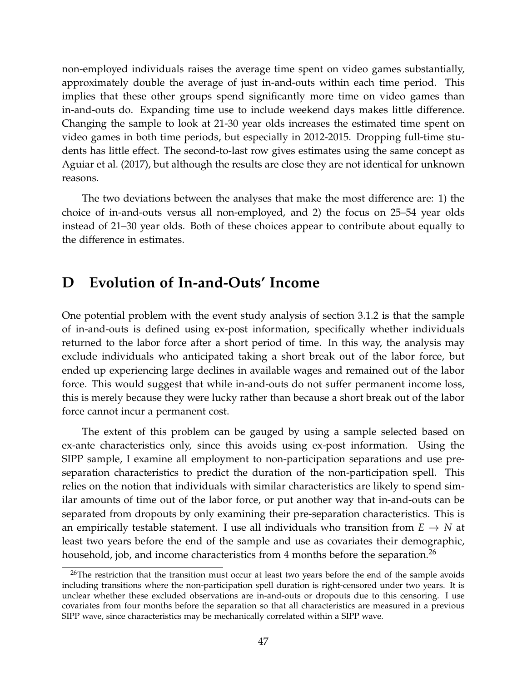non-employed individuals raises the average time spent on video games substantially, approximately double the average of just in-and-outs within each time period. This implies that these other groups spend significantly more time on video games than in-and-outs do. Expanding time use to include weekend days makes little difference. Changing the sample to look at 21-30 year olds increases the estimated time spent on video games in both time periods, but especially in 2012-2015. Dropping full-time students has little effect. The second-to-last row gives estimates using the same concept as [Aguiar et al.](#page-31-0) [\(2017\)](#page-31-0), but although the results are close they are not identical for unknown reasons.

The two deviations between the analyses that make the most difference are: 1) the choice of in-and-outs versus all non-employed, and 2) the focus on 25–54 year olds instead of 21–30 year olds. Both of these choices appear to contribute about equally to the difference in estimates.

### <span id="page-46-0"></span>**D Evolution of In-and-Outs' Income**

One potential problem with the event study analysis of section [3.1.2](#page-16-0) is that the sample of in-and-outs is defined using ex-post information, specifically whether individuals returned to the labor force after a short period of time. In this way, the analysis may exclude individuals who anticipated taking a short break out of the labor force, but ended up experiencing large declines in available wages and remained out of the labor force. This would suggest that while in-and-outs do not suffer permanent income loss, this is merely because they were lucky rather than because a short break out of the labor force cannot incur a permanent cost.

The extent of this problem can be gauged by using a sample selected based on ex-ante characteristics only, since this avoids using ex-post information. Using the SIPP sample, I examine all employment to non-participation separations and use preseparation characteristics to predict the duration of the non-participation spell. This relies on the notion that individuals with similar characteristics are likely to spend similar amounts of time out of the labor force, or put another way that in-and-outs can be separated from dropouts by only examining their pre-separation characteristics. This is an empirically testable statement. I use all individuals who transition from  $E \to N$  at least two years before the end of the sample and use as covariates their demographic, household, job, and income characteristics from 4 months before the separation.<sup>[26](#page-46-1)</sup>

<span id="page-46-1"></span> $26$ The restriction that the transition must occur at least two years before the end of the sample avoids including transitions where the non-participation spell duration is right-censored under two years. It is unclear whether these excluded observations are in-and-outs or dropouts due to this censoring. I use covariates from four months before the separation so that all characteristics are measured in a previous SIPP wave, since characteristics may be mechanically correlated within a SIPP wave.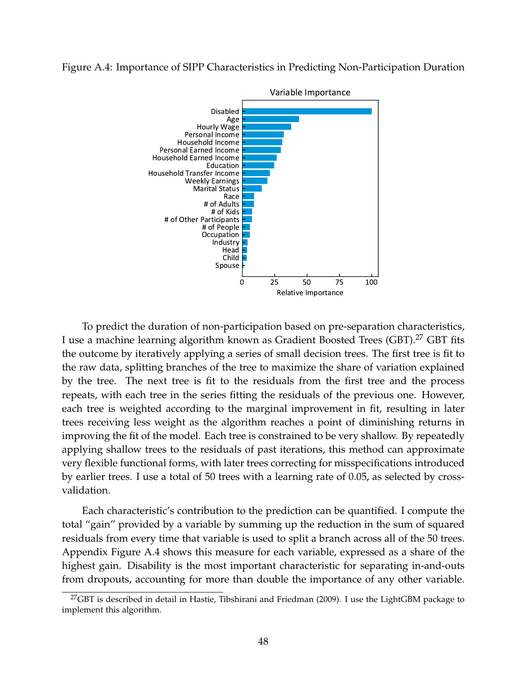#### <span id="page-47-1"></span>Figure A.4: Importance of SIPP Characteristics in Predicting Non-Participation Duration



To predict the duration of non-participation based on pre-separation characteristics, I use a machine learning algorithm known as Gradient Boosted Trees (GBT).[27](#page-47-0) GBT fits the outcome by iteratively applying a series of small decision trees. The first tree is fit to the raw data, splitting branches of the tree to maximize the share of variation explained by the tree. The next tree is fit to the residuals from the first tree and the process repeats, with each tree in the series fitting the residuals of the previous one. However, each tree is weighted according to the marginal improvement in fit, resulting in later trees receiving less weight as the algorithm reaches a point of diminishing returns in improving the fit of the model. Each tree is constrained to be very shallow. By repeatedly applying shallow trees to the residuals of past iterations, this method can approximate very flexible functional forms, with later trees correcting for misspecifications introduced by earlier trees. I use a total of 50 trees with a learning rate of 0.05, as selected by crossvalidation.

Each characteristic's contribution to the prediction can be quantified. I compute the total "gain" provided by a variable by summing up the reduction in the sum of squared residuals from every time that variable is used to split a branch across all of the 50 trees. Appendix Figure [A.4](#page-47-1) shows this measure for each variable, expressed as a share of the highest gain. Disability is the most important characteristic for separating in-and-outs from dropouts, accounting for more than double the importance of any other variable.

<span id="page-47-0"></span> $^{27}$ GBT is described in detail in [Hastie, Tibshirani and Friedman](#page-33-16) [\(2009\)](#page-33-16). I use the LightGBM package to implement this algorithm.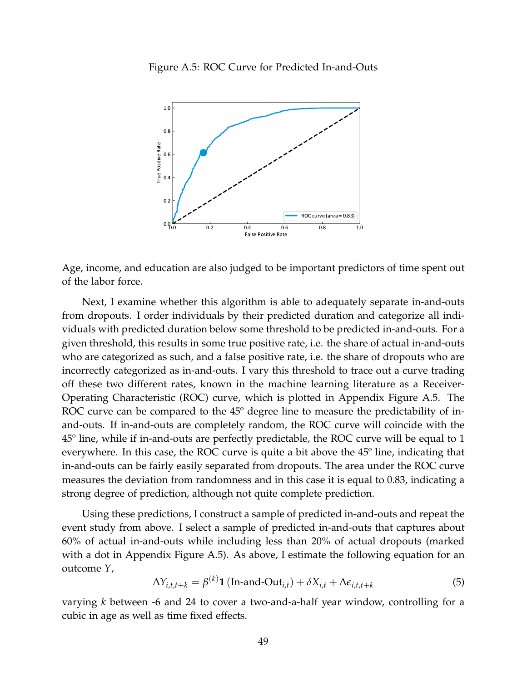<span id="page-48-0"></span>

Age, income, and education are also judged to be important predictors of time spent out of the labor force.

Next, I examine whether this algorithm is able to adequately separate in-and-outs from dropouts. I order individuals by their predicted duration and categorize all individuals with predicted duration below some threshold to be predicted in-and-outs. For a given threshold, this results in some true positive rate, i.e. the share of actual in-and-outs who are categorized as such, and a false positive rate, i.e. the share of dropouts who are incorrectly categorized as in-and-outs. I vary this threshold to trace out a curve trading off these two different rates, known in the machine learning literature as a Receiver-Operating Characteristic (ROC) curve, which is plotted in Appendix Figure [A.5.](#page-48-0) The ROC curve can be compared to the 45<sup>°</sup> degree line to measure the predictability of inand-outs. If in-and-outs are completely random, the ROC curve will coincide with the 45º line, while if in-and-outs are perfectly predictable, the ROC curve will be equal to 1 everywhere. In this case, the ROC curve is quite a bit above the 45º line, indicating that in-and-outs can be fairly easily separated from dropouts. The area under the ROC curve measures the deviation from randomness and in this case it is equal to 0.83, indicating a strong degree of prediction, although not quite complete prediction.

Using these predictions, I construct a sample of predicted in-and-outs and repeat the event study from above. I select a sample of predicted in-and-outs that captures about 60% of actual in-and-outs while including less than 20% of actual dropouts (marked with a dot in Appendix Figure [A.5\)](#page-48-0). As above, I estimate the following equation for an outcome *Y*,

<span id="page-48-1"></span>
$$
\Delta Y_{i,t,t+k} = \beta^{(k)} \mathbf{1} (\text{In-and-Out}_{i,t}) + \delta X_{i,t} + \Delta \epsilon_{i,t,t+k}
$$
 (5)

varying *k* between -6 and 24 to cover a two-and-a-half year window, controlling for a cubic in age as well as time fixed effects.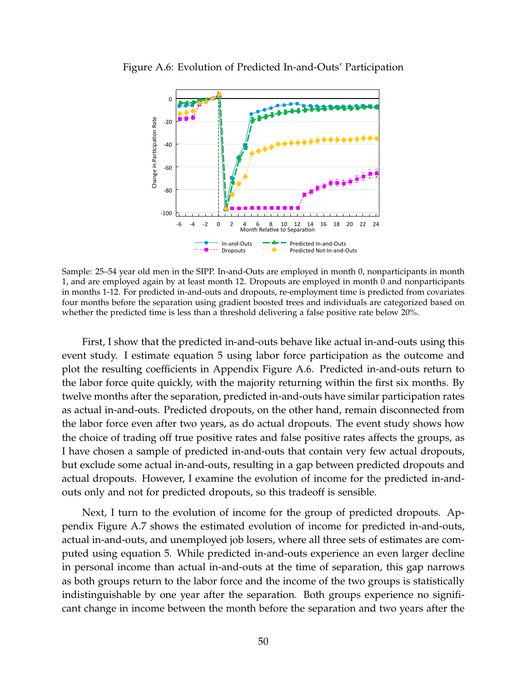

<span id="page-49-0"></span>Figure A.6: Evolution of Predicted In-and-Outs' Participation

Sample: 25–54 year old men in the SIPP. In-and-Outs are employed in month 0, nonparticipants in month 1, and are employed again by at least month 12. Dropouts are employed in month 0 and nonparticipants in months 1-12. For predicted in-and-outs and dropouts, re-employment time is predicted from covariates four months before the separation using gradient boosted trees and individuals are categorized based on whether the predicted time is less than a threshold delivering a false positive rate below 20%.

First, I show that the predicted in-and-outs behave like actual in-and-outs using this event study. I estimate equation [5](#page-48-1) using labor force participation as the outcome and plot the resulting coefficients in Appendix Figure [A.6.](#page-49-0) Predicted in-and-outs return to the labor force quite quickly, with the majority returning within the first six months. By twelve months after the separation, predicted in-and-outs have similar participation rates as actual in-and-outs. Predicted dropouts, on the other hand, remain disconnected from the labor force even after two years, as do actual dropouts. The event study shows how the choice of trading off true positive rates and false positive rates affects the groups, as I have chosen a sample of predicted in-and-outs that contain very few actual dropouts, but exclude some actual in-and-outs, resulting in a gap between predicted dropouts and actual dropouts. However, I examine the evolution of income for the predicted in-andouts only and not for predicted dropouts, so this tradeoff is sensible.

Next, I turn to the evolution of income for the group of predicted dropouts. Appendix Figure [A.7](#page-50-0) shows the estimated evolution of income for predicted in-and-outs, actual in-and-outs, and unemployed job losers, where all three sets of estimates are computed using equation [5.](#page-48-1) While predicted in-and-outs experience an even larger decline in personal income than actual in-and-outs at the time of separation, this gap narrows as both groups return to the labor force and the income of the two groups is statistically indistinguishable by one year after the separation. Both groups experience no significant change in income between the month before the separation and two years after the